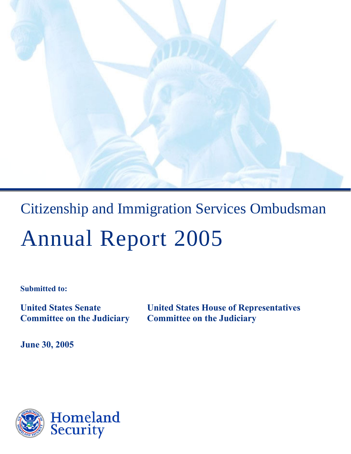

# Citizenship and Immigration Services Ombudsman Annual Report 2005

**Submitted to:** 

**United States Senate United States House of Representatives Committee on the Judiciary Committee on the Judiciary** 

**June 30, 2005** 

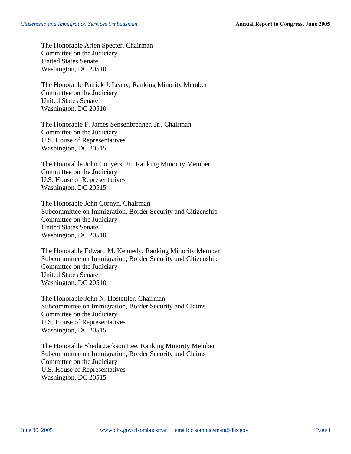The Honorable Arlen Specter, Chairman Committee on the Judiciary United States Senate Washington, DC 20510

The Honorable Patrick J. Leahy, Ranking Minority Member Committee on the Judiciary United States Senate Washington, DC 20510

The Honorable F. James Sensenbrenner, Jr., Chairman Committee on the Judiciary U.S. House of Representatives Washington, DC 20515

The Honorable John Conyers, Jr., Ranking Minority Member Committee on the Judiciary U.S. House of Representatives Washington, DC 20515

The Honorable John Cornyn, Chairman Subcommittee on Immigration, Border Security and Citizenship Committee on the Judiciary United States Senate Washington, DC 20510

The Honorable Edward M. Kennedy, Ranking Minority Member Subcommittee on Immigration, Border Security and Citizenship Committee on the Judiciary United States Senate Washington, DC 20510

The Honorable John N. Hostettler, Chairman Subcommittee on Immigration, Border Security and Claims Committee on the Judiciary U.S. House of Representatives Washington, DC 20515

The Honorable Sheila Jackson Lee, Ranking Minority Member Subcommittee on Immigration, Border Security and Claims Committee on the Judiciary U.S. House of Representatives Washington, DC 20515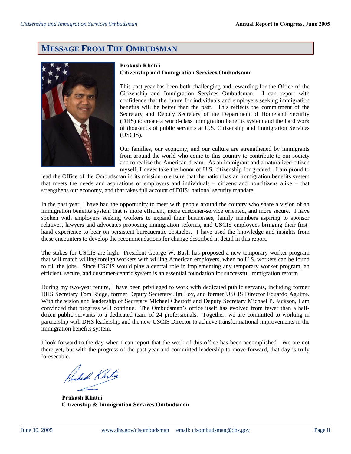# **MESSAGE FROM THE OMBUDSMAN**



#### **Prakash Khatri Citizenship and Immigration Services Ombudsman**

This past year has been both challenging and rewarding for the Office of the Citizenship and Immigration Services Ombudsman. I can report with confidence that the future for individuals and employers seeking immigration benefits will be better than the past. This reflects the commitment of the Secretary and Deputy Secretary of the Department of Homeland Security (DHS) to create a world-class immigration benefits system and the hard work of thousands of public servants at U.S. Citizenship and Immigration Services (USCIS).

Our families, our economy, and our culture are strengthened by immigrants from around the world who come to this country to contribute to our society and to realize the American dream. As an immigrant and a naturalized citizen myself, I never take the honor of U.S. citizenship for granted. I am proud to

lead the Office of the Ombudsman in its mission to ensure that the nation has an immigration benefits system that meets the needs and aspirations of employers and individuals – citizens and noncitizens alike – that strengthens our economy, and that takes full account of DHS' national security mandate.

In the past year, I have had the opportunity to meet with people around the country who share a vision of an immigration benefits system that is more efficient, more customer-service oriented, and more secure. I have spoken with employers seeking workers to expand their businesses, family members aspiring to sponsor relatives, lawyers and advocates proposing immigration reforms, and USCIS employees bringing their firsthand experience to bear on persistent bureaucratic obstacles. I have used the knowledge and insights from these encounters to develop the recommendations for change described in detail in this report.

The stakes for USCIS are high. President George W. Bush has proposed a new temporary worker program that will match willing foreign workers with willing American employers, when no U.S. workers can be found to fill the jobs. Since USCIS would play a central role in implementing any temporary worker program, an efficient, secure, and customer-centric system is an essential foundation for successful immigration reform.

During my two-year tenure, I have been privileged to work with dedicated public servants, including former DHS Secretary Tom Ridge, former Deputy Secretary Jim Loy, and former USCIS Director Eduardo Aguirre. With the vision and leadership of Secretary Michael Chertoff and Deputy Secretary Michael P. Jackson, I am convinced that progress will continue. The Ombudsman's office itself has evolved from fewer than a halfdozen public servants to a dedicated team of 24 professionals. Together, we are committed to working in partnership with DHS leadership and the new USCIS Director to achieve transformational improvements in the immigration benefits system.

I look forward to the day when I can report that the work of this office has been accomplished. We are not there yet, but with the progress of the past year and committed leadership to move forward, that day is truly foreseeable.

Jukah Khetri

**Prakash Khatri Citizenship & Immigration Services Ombudsman**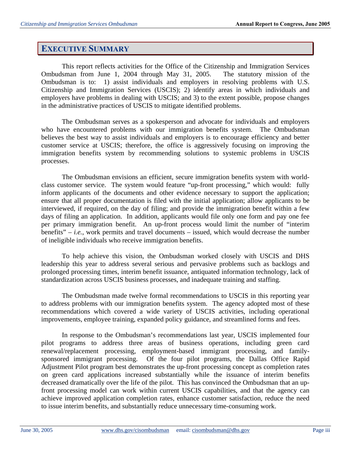# **EXECUTIVE SUMMARY**

This report reflects activities for the Office of the Citizenship and Immigration Services Ombudsman from June 1, 2004 through May 31, 2005. The statutory mission of the Ombudsman is to: 1) assist individuals and employers in resolving problems with U.S. Citizenship and Immigration Services (USCIS); 2) identify areas in which individuals and employers have problems in dealing with USCIS; and 3) to the extent possible, propose changes in the administrative practices of USCIS to mitigate identified problems.

The Ombudsman serves as a spokesperson and advocate for individuals and employers who have encountered problems with our immigration benefits system. The Ombudsman believes the best way to assist individuals and employers is to encourage efficiency and better customer service at USCIS; therefore, the office is aggressively focusing on improving the immigration benefits system by recommending solutions to systemic problems in USCIS processes.

The Ombudsman envisions an efficient, secure immigration benefits system with worldclass customer service. The system would feature "up-front processing," which would: fully inform applicants of the documents and other evidence necessary to support the application; ensure that all proper documentation is filed with the initial application; allow applicants to be interviewed, if required, on the day of filing; and provide the immigration benefit within a few days of filing an application. In addition, applicants would file only one form and pay one fee per primary immigration benefit. An up-front process would limit the number of "interim benefits" – *i.e.*, work permits and travel documents – issued, which would decrease the number of ineligible individuals who receive immigration benefits.

To help achieve this vision, the Ombudsman worked closely with USCIS and DHS leadership this year to address several serious and pervasive problems such as backlogs and prolonged processing times, interim benefit issuance, antiquated information technology, lack of standardization across USCIS business processes, and inadequate training and staffing.

The Ombudsman made twelve formal recommendations to USCIS in this reporting year to address problems with our immigration benefits system. The agency adopted most of these recommendations which covered a wide variety of USCIS activities, including operational improvements, employee training, expanded policy guidance, and streamlined forms and fees.

In response to the Ombudsman's recommendations last year, USCIS implemented four pilot programs to address three areas of business operations, including green card renewal/replacement processing, employment-based immigrant processing, and familysponsored immigrant processing. Of the four pilot programs, the Dallas Office Rapid Adjustment Pilot program best demonstrates the up-front processing concept as completion rates on green card applications increased substantially while the issuance of interim benefits decreased dramatically over the life of the pilot. This has convinced the Ombudsman that an upfront processing model can work within current USCIS capabilities, and that the agency can achieve improved application completion rates, enhance customer satisfaction, reduce the need to issue interim benefits, and substantially reduce unnecessary time-consuming work.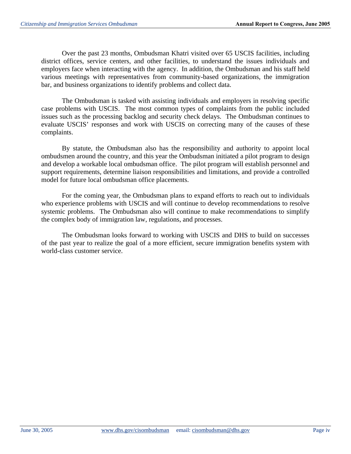Over the past 23 months, Ombudsman Khatri visited over 65 USCIS facilities, including district offices, service centers, and other facilities, to understand the issues individuals and employers face when interacting with the agency. In addition, the Ombudsman and his staff held various meetings with representatives from community-based organizations, the immigration bar, and business organizations to identify problems and collect data.

The Ombudsman is tasked with assisting individuals and employers in resolving specific case problems with USCIS. The most common types of complaints from the public included issues such as the processing backlog and security check delays. The Ombudsman continues to evaluate USCIS' responses and work with USCIS on correcting many of the causes of these complaints.

By statute, the Ombudsman also has the responsibility and authority to appoint local ombudsmen around the country, and this year the Ombudsman initiated a pilot program to design and develop a workable local ombudsman office. The pilot program will establish personnel and support requirements, determine liaison responsibilities and limitations, and provide a controlled model for future local ombudsman office placements.

For the coming year, the Ombudsman plans to expand efforts to reach out to individuals who experience problems with USCIS and will continue to develop recommendations to resolve systemic problems. The Ombudsman also will continue to make recommendations to simplify the complex body of immigration law, regulations, and processes.

The Ombudsman looks forward to working with USCIS and DHS to build on successes of the past year to realize the goal of a more efficient, secure immigration benefits system with world-class customer service.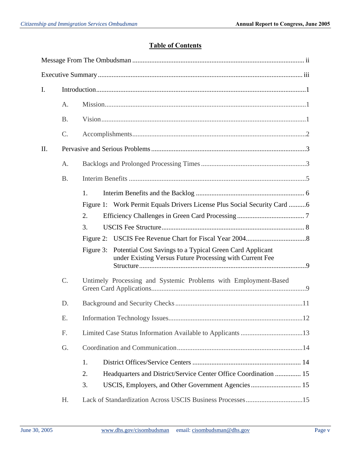## **Table of Contents**

| $\mathbf{I}$ . |           |                                                                                                                                   |  |
|----------------|-----------|-----------------------------------------------------------------------------------------------------------------------------------|--|
|                | A.        |                                                                                                                                   |  |
|                | <b>B.</b> |                                                                                                                                   |  |
|                | $C$ .     |                                                                                                                                   |  |
| II.            |           |                                                                                                                                   |  |
|                | A.        |                                                                                                                                   |  |
|                | <b>B.</b> |                                                                                                                                   |  |
|                |           | 1.                                                                                                                                |  |
|                |           | Figure 1: Work Permit Equals Drivers License Plus Social Security Card 6                                                          |  |
|                |           | 2.                                                                                                                                |  |
|                |           | 3.                                                                                                                                |  |
|                |           |                                                                                                                                   |  |
|                |           | Potential Cost Savings to a Typical Green Card Applicant<br>Figure 3:<br>under Existing Versus Future Processing with Current Fee |  |
|                | C.        | Untimely Processing and Systemic Problems with Employment-Based                                                                   |  |
|                | D.        |                                                                                                                                   |  |
|                | E.        |                                                                                                                                   |  |
|                | F.        |                                                                                                                                   |  |
|                | G.        |                                                                                                                                   |  |
|                |           | 1.                                                                                                                                |  |
|                |           | 2.<br>Headquarters and District/Service Center Office Coordination  15                                                            |  |
|                |           | 3.<br>USCIS, Employers, and Other Government Agencies  15                                                                         |  |
|                | Η.        |                                                                                                                                   |  |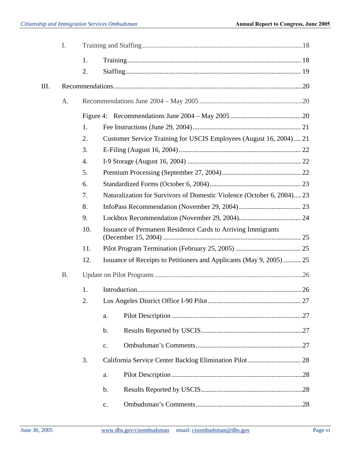|    | I.        |     |                                                                        |  |
|----|-----------|-----|------------------------------------------------------------------------|--|
|    |           | 1.  |                                                                        |  |
|    |           | 2.  |                                                                        |  |
| Ш. |           |     |                                                                        |  |
|    | A.        |     |                                                                        |  |
|    |           |     |                                                                        |  |
|    |           | 1.  |                                                                        |  |
|    |           | 2.  | Customer Service Training for USCIS Employees (August 16, 2004) 21     |  |
|    |           | 3.  |                                                                        |  |
|    |           | 4.  |                                                                        |  |
|    |           | 5.  |                                                                        |  |
|    |           | 6.  |                                                                        |  |
|    |           | 7.  | Naturalization for Survivors of Domestic Violence (October 6, 2004) 23 |  |
|    |           | 8.  |                                                                        |  |
|    |           | 9.  |                                                                        |  |
|    |           | 10. | <b>Issuance of Permanent Residence Cards to Arriving Immigrants</b>    |  |
|    |           | 11. |                                                                        |  |
|    |           | 12. | Issuance of Receipts to Petitioners and Applicants (May 9, 2005)  25   |  |
|    | <b>B.</b> |     |                                                                        |  |
|    |           | 1.  |                                                                        |  |
|    |           | 2.  |                                                                        |  |
|    |           |     | a.                                                                     |  |
|    |           |     | b.                                                                     |  |
|    |           |     | $\mathbf{c}$ .                                                         |  |
|    |           | 3.  |                                                                        |  |
|    |           |     | a.                                                                     |  |
|    |           |     | b.                                                                     |  |
|    |           |     | $\mathbf{c}.$                                                          |  |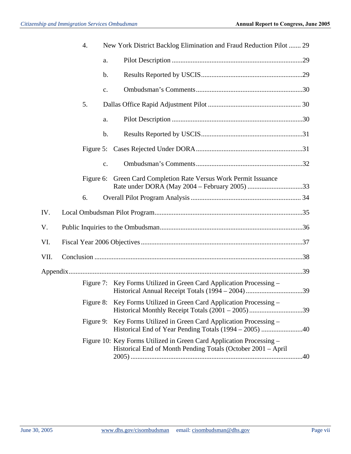|      | 4.        |                | New York District Backlog Elimination and Fraud Reduction Pilot  29                                                                  |  |
|------|-----------|----------------|--------------------------------------------------------------------------------------------------------------------------------------|--|
|      |           | a.             |                                                                                                                                      |  |
|      |           | $\mathbf b$ .  |                                                                                                                                      |  |
|      |           | c.             |                                                                                                                                      |  |
|      | 5.        |                |                                                                                                                                      |  |
|      |           | a.             |                                                                                                                                      |  |
|      |           | $\mathbf b$ .  |                                                                                                                                      |  |
|      | Figure 5: |                |                                                                                                                                      |  |
|      |           | $\mathbf{c}$ . |                                                                                                                                      |  |
|      | Figure 6: |                | Green Card Completion Rate Versus Work Permit Issuance                                                                               |  |
|      | 6.        |                |                                                                                                                                      |  |
| IV.  |           |                |                                                                                                                                      |  |
| V.   |           |                |                                                                                                                                      |  |
| VI.  |           |                |                                                                                                                                      |  |
| VII. |           |                |                                                                                                                                      |  |
|      |           |                |                                                                                                                                      |  |
|      |           |                | Figure 7: Key Forms Utilized in Green Card Application Processing –                                                                  |  |
|      |           |                | Figure 8: Key Forms Utilized in Green Card Application Processing –                                                                  |  |
|      |           |                | Figure 9: Key Forms Utilized in Green Card Application Processing –                                                                  |  |
|      |           |                | Figure 10: Key Forms Utilized in Green Card Application Processing -<br>Historical End of Month Pending Totals (October 2001 – April |  |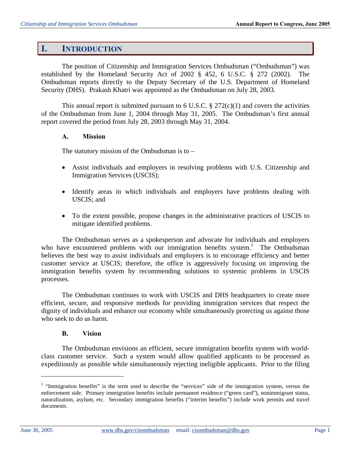## **I. INTRODUCTION**

The position of Citizenship and Immigration Services Ombudsman ("Ombudsman") was established by the Homeland Security Act of 2002 § 452, 6 U.S.C. § 272 (2002). The Ombudsman reports directly to the Deputy Secretary of the U.S. Department of Homeland Security (DHS). Prakash Khatri was appointed as the Ombudsman on July 28, 2003.

This annual report is submitted pursuant to 6 U.S.C.  $\S 272(c)(1)$  and covers the activities of the Ombudsman from June 1, 2004 through May 31, 2005. The Ombudsman's first annual report covered the period from July 28, 2003 through May 31, 2004.

#### **A. Mission**

The statutory mission of the Ombudsman is to  $-$ 

- Assist individuals and employers in resolving problems with U.S. Citizenship and Immigration Services (USCIS);
- Identify areas in which individuals and employers have problems dealing with USCIS; and
- To the extent possible, propose changes in the administrative practices of USCIS to mitigate identified problems.

The Ombudsman serves as a spokesperson and advocate for individuals and employers who have encountered problems with our immigration benefits system.<sup>1</sup> The Ombudsman believes the best way to assist individuals and employers is to encourage efficiency and better customer service at USCIS; therefore, the office is aggressively focusing on improving the immigration benefits system by recommending solutions to systemic problems in USCIS processes.

The Ombudsman continues to work with USCIS and DHS headquarters to create more efficient, secure, and responsive methods for providing immigration services that respect the dignity of individuals and enhance our economy while simultaneously protecting us against those who seek to do us harm.

#### **B. Vision**

The Ombudsman envisions an efficient, secure immigration benefits system with worldclass customer service. Such a system would allow qualified applicants to be processed as expeditiously as possible while simultaneously rejecting ineligible applicants. Prior to the filing

<sup>&</sup>lt;sup>1</sup> "Immigration benefits" is the term used to describe the "services" side of the immigration system, versus the enforcement side. Primary immigration benefits include permanent residence ("green card"), nonimmigrant status, naturalization, asylum, etc. Secondary immigration benefits ("interim benefits") include work permits and travel documents.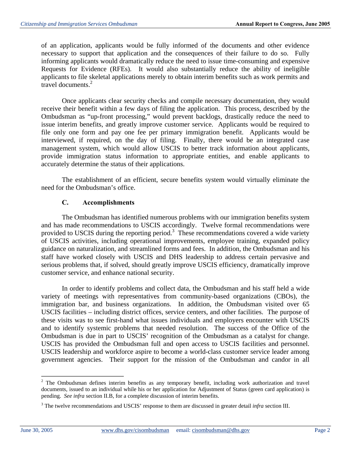of an application, applicants would be fully informed of the documents and other evidence necessary to support that application and the consequences of their failure to do so. Fully informing applicants would dramatically reduce the need to issue time-consuming and expensive Requests for Evidence (RFEs). It would also substantially reduce the ability of ineligible applicants to file skeletal applications merely to obtain interim benefits such as work permits and travel documents.<sup>2</sup>

Once applicants clear security checks and compile necessary documentation, they would receive their benefit within a few days of filing the application. This process, described by the Ombudsman as "up-front processing," would prevent backlogs, drastically reduce the need to issue interim benefits, and greatly improve customer service. Applicants would be required to file only one form and pay one fee per primary immigration benefit. Applicants would be interviewed, if required, on the day of filing. Finally, there would be an integrated case management system, which would allow USCIS to better track information about applicants, provide immigration status information to appropriate entities, and enable applicants to accurately determine the status of their applications.

The establishment of an efficient, secure benefits system would virtually eliminate the need for the Ombudsman's office.

## **C. Accomplishments**

The Ombudsman has identified numerous problems with our immigration benefits system and has made recommendations to USCIS accordingly. Twelve formal recommendations were provided to USCIS during the reporting period.<sup>3</sup> These recommendations covered a wide variety of USCIS activities, including operational improvements, employee training, expanded policy guidance on naturalization, and streamlined forms and fees. In addition, the Ombudsman and his staff have worked closely with USCIS and DHS leadership to address certain pervasive and serious problems that, if solved, should greatly improve USCIS efficiency, dramatically improve customer service, and enhance national security.

In order to identify problems and collect data, the Ombudsman and his staff held a wide variety of meetings with representatives from community-based organizations (CBOs), the immigration bar, and business organizations. In addition, the Ombudsman visited over 65 USCIS facilities – including district offices, service centers, and other facilities. The purpose of these visits was to see first-hand what issues individuals and employers encounter with USCIS and to identify systemic problems that needed resolution. The success of the Office of the Ombudsman is due in part to USCIS' recognition of the Ombudsman as a catalyst for change. USCIS has provided the Ombudsman full and open access to USCIS facilities and personnel. USCIS leadership and workforce aspire to become a world-class customer service leader among government agencies. Their support for the mission of the Ombudsman and candor in all

 $2$  The Ombudsman defines interim benefits as any temporary benefit, including work authorization and travel documents, issued to an individual while his or her application for Adjustment of Status (green card application) is pending. *See infra* section II.B, for a complete discussion of interim benefits.

<sup>3</sup> The twelve recommendations and USCIS' response to them are discussed in greater detail *infra* section III.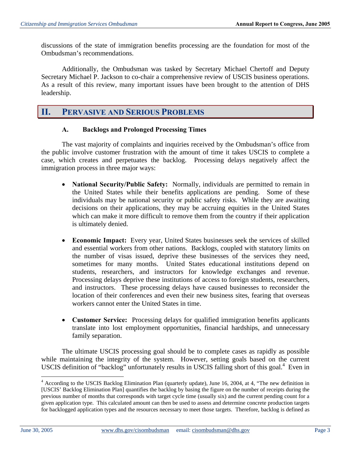discussions of the state of immigration benefits processing are the foundation for most of the Ombudsman's recommendations.

Additionally, the Ombudsman was tasked by Secretary Michael Chertoff and Deputy Secretary Michael P. Jackson to co-chair a comprehensive review of USCIS business operations. As a result of this review, many important issues have been brought to the attention of DHS leadership.

## **II. PERVASIVE AND SERIOUS PROBLEMS**

#### **A. Backlogs and Prolonged Processing Times**

The vast majority of complaints and inquiries received by the Ombudsman's office from the public involve customer frustration with the amount of time it takes USCIS to complete a case, which creates and perpetuates the backlog. Processing delays negatively affect the immigration process in three major ways:

- **National Security/Public Safety:** Normally, individuals are permitted to remain in the United States while their benefits applications are pending. Some of these individuals may be national security or public safety risks. While they are awaiting decisions on their applications, they may be accruing equities in the United States which can make it more difficult to remove them from the country if their application is ultimately denied.
- **Economic Impact:** Every year, United States businesses seek the services of skilled and essential workers from other nations. Backlogs, coupled with statutory limits on the number of visas issued, deprive these businesses of the services they need, sometimes for many months. United States educational institutions depend on students, researchers, and instructors for knowledge exchanges and revenue. Processing delays deprive these institutions of access to foreign students, researchers, and instructors. These processing delays have caused businesses to reconsider the location of their conferences and even their new business sites, fearing that overseas workers cannot enter the United States in time.
- **Customer Service:** Processing delays for qualified immigration benefits applicants translate into lost employment opportunities, financial hardships, and unnecessary family separation.

The ultimate USCIS processing goal should be to complete cases as rapidly as possible while maintaining the integrity of the system. However, setting goals based on the current USCIS definition of "backlog" unfortunately results in USCIS falling short of this goal.<sup>4</sup> Even in

<sup>&</sup>lt;sup>4</sup> According to the USCIS Backlog Elimination Plan (quarterly update), June 16, 2004, at 4, "The new definition in [USCIS' Backlog Elimination Plan] quantifies the backlog by basing the figure on the number of receipts during the previous number of months that corresponds with target cycle time (usually six) and the current pending count for a given application type. This calculated amount can then be used to assess and determine concrete production targets for backlogged application types and the resources necessary to meet those targets. Therefore, backlog is defined as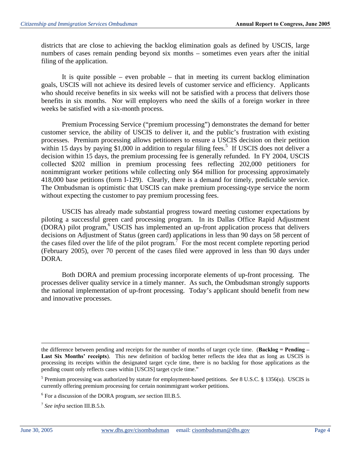districts that are close to achieving the backlog elimination goals as defined by USCIS, large numbers of cases remain pending beyond six months – sometimes even years after the initial filing of the application.

It is quite possible – even probable – that in meeting its current backlog elimination goals, USCIS will not achieve its desired levels of customer service and efficiency. Applicants who should receive benefits in six weeks will not be satisfied with a process that delivers those benefits in six months. Nor will employers who need the skills of a foreign worker in three weeks be satisfied with a six-month process.

Premium Processing Service ("premium processing") demonstrates the demand for better customer service, the ability of USCIS to deliver it, and the public's frustration with existing processes. Premium processing allows petitioners to ensure a USCIS decision on their petition within 15 days by paying \$1,000 in addition to regular filing fees.<sup>5</sup> If USCIS does not deliver a decision within 15 days, the premium processing fee is generally refunded. In FY 2004, USCIS collected \$202 million in premium processing fees reflecting 202,000 petitioners for nonimmigrant worker petitions while collecting only \$64 million for processing approximately 418,000 base petitions (form I-129). Clearly, there is a demand for timely, predictable service. The Ombudsman is optimistic that USCIS can make premium processing-type service the norm without expecting the customer to pay premium processing fees.

USCIS has already made substantial progress toward meeting customer expectations by piloting a successful green card processing program. In its Dallas Office Rapid Adjustment  $(DORA)$  pilot program, <sup>6</sup> USCIS has implemented an up-front application process that delivers decisions on Adjustment of Status (green card) applications in less than 90 days on 58 percent of the cases filed over the life of the pilot program.<sup>7</sup> For the most recent complete reporting period (February 2005), over 70 percent of the cases filed were approved in less than 90 days under DORA.

Both DORA and premium processing incorporate elements of up-front processing. The processes deliver quality service in a timely manner. As such, the Ombudsman strongly supports the national implementation of up-front processing. Today's applicant should benefit from new and innovative processes.

the difference between pending and receipts for the number of months of target cycle time. (**Backlog = Pending – Last Six Months' receipts**). This new definition of backlog better reflects the idea that as long as USCIS is processing its receipts within the designated target cycle time, there is no backlog for those applications as the pending count only reflects cases within [USCIS] target cycle time."

<sup>5</sup> Premium processing was authorized by statute for employment-based petitions. *See* 8 U.S.C. § 1356(u). USCIS is currently offering premium processing for certain nonimmigrant worker petitions.

<sup>6</sup> For a discussion of the DORA program, *see* section III.B.5.

<sup>7</sup>*See infra* section III.B.5.b.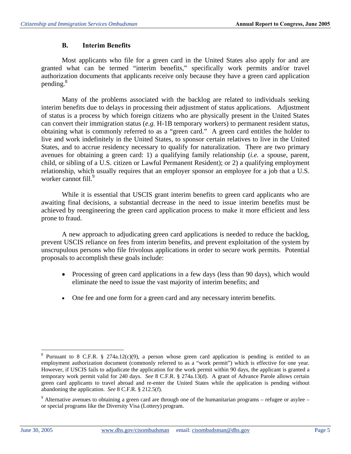## **B. Interim Benefits**

Most applicants who file for a green card in the United States also apply for and are granted what can be termed "interim benefits," specifically work permits and/or travel authorization documents that applicants receive only because they have a green card application pending.<sup>8</sup>

Many of the problems associated with the backlog are related to individuals seeking interim benefits due to delays in processing their adjustment of status applications. Adjustment of status is a process by which foreign citizens who are physically present in the United States can convert their immigration status (*e.g.* H-1B temporary workers) to permanent resident status, obtaining what is commonly referred to as a "green card." A green card entitles the holder to live and work indefinitely in the United States, to sponsor certain relatives to live in the United States, and to accrue residency necessary to qualify for naturalization. There are two primary avenues for obtaining a green card: 1) a qualifying family relationship (*i.e.* a spouse, parent, child, or sibling of a U.S. citizen or Lawful Permanent Resident); or 2) a qualifying employment relationship, which usually requires that an employer sponsor an employee for a job that a U.S. worker cannot fill.<sup>9</sup>

While it is essential that USCIS grant interim benefits to green card applicants who are awaiting final decisions, a substantial decrease in the need to issue interim benefits must be achieved by reengineering the green card application process to make it more efficient and less prone to fraud.

A new approach to adjudicating green card applications is needed to reduce the backlog, prevent USCIS reliance on fees from interim benefits, and prevent exploitation of the system by unscrupulous persons who file frivolous applications in order to secure work permits. Potential proposals to accomplish these goals include:

- Processing of green card applications in a few days (less than 90 days), which would eliminate the need to issue the vast majority of interim benefits; and
- One fee and one form for a green card and any necessary interim benefits.

<sup>&</sup>lt;sup>8</sup> Pursuant to 8 C.F.R. § 274a.12(c)(9), a person whose green card application is pending is entitled to an employment authorization document (commonly referred to as a "work permit") which is effective for one year. However, if USCIS fails to adjudicate the application for the work permit within 90 days, the applicant is granted a temporary work permit valid for 240 days. *See* 8 C.F.R. § 274a.13(d). A grant of Advance Parole allows certain green card applicants to travel abroad and re-enter the United States while the application is pending without abandoning the application. *See* 8 C.F.R. § 212.5(f).

 $9$  Alternative avenues to obtaining a green card are through one of the humanitarian programs – refugee or asylee – or special programs like the Diversity Visa (Lottery) program.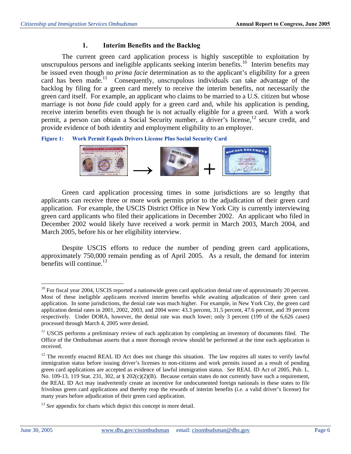#### **1. Interim Benefits and the Backlog**

The current green card application process is highly susceptible to exploitation by unscrupulous persons and ineligible applicants seeking interim benefits.<sup>10</sup> Interim benefits may be issued even though no *prima facie* determination as to the applicant's eligibility for a green card has been made.<sup>11</sup> Consequently, unscrupulous individuals can take advantage of the backlog by filing for a green card merely to receive the interim benefits, not necessarily the green card itself. For example, an applicant who claims to be married to a U.S. citizen but whose marriage is not *bona fide* could apply for a green card and, while his application is pending, receive interim benefits even though he is not actually eligible for a green card. With a work permit, a person can obtain a Social Security number, a driver's license,<sup>12</sup> secure credit, and provide evidence of both identity and employment eligibility to an employer.

**Figure 1: Work Permit Equals Drivers License Plus Social Security Card** 



Green card application processing times in some jurisdictions are so lengthy that applicants can receive three or more work permits prior to the adjudication of their green card application. For example, the USCIS District Office in New York City is currently interviewing green card applicants who filed their applications in December 2002. An applicant who filed in December 2002 would likely have received a work permit in March 2003, March 2004, and March 2005, before his or her eligibility interview.

Despite USCIS efforts to reduce the number of pending green card applications, approximately 750,000 remain pending as of April 2005. As a result, the demand for interim benefits will continue. $13$ 

 $10$  For fiscal year 2004, USCIS reported a nationwide green card application denial rate of approximately 20 percent. Most of these ineligible applicants received interim benefits while awaiting adjudication of their green card application. In some jurisdictions, the denial rate was much higher. For example, in New York City, the green card application denial rates in 2001, 2002, 2003, and 2004 were: 43.3 percent, 31.5 percent, 47.6 percent, and 39 percent respectively. Under DORA, however, the denial rate was much lower; only 3 percent (199 of the 6,626 cases) processed through March 4, 2005 were denied.

<sup>&</sup>lt;sup>11</sup> USCIS performs a preliminary review of each application by completing an inventory of documents filed. The Office of the Ombudsman asserts that a more thorough review should be performed at the time each application is received.

<sup>&</sup>lt;sup>12</sup> The recently enacted REAL ID Act does not change this situation. The law requires all states to verify lawful immigration status before issuing driver's licenses to non-citizens and work permits issued as a result of pending green card applications are accepted as evidence of lawful immigration status. *See* REAL ID Act of 2005, Pub. L. No. 109-13, 119 Stat. 231, 302, at § 202 $(c)(2)(B)$ . Because certain states do not currently have such a requirement, the REAL ID Act may inadvertently create an incentive for undocumented foreign nationals in these states to file frivolous green card applications and thereby reap the rewards of interim benefits (*i.e.* a valid driver's license) for many years before adjudication of their green card application.

<sup>&</sup>lt;sup>13</sup> See appendix for charts which depict this concept in more detail.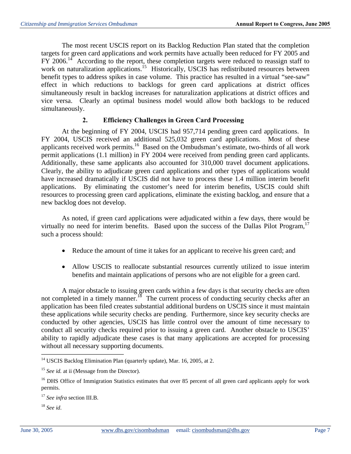The most recent USCIS report on its Backlog Reduction Plan stated that the completion targets for green card applications and work permits have actually been reduced for FY 2005 and FY 2006.<sup>14</sup> According to the report, these completion targets were reduced to reassign staff to work on naturalization applications.<sup>15</sup> Historically, USCIS has redistributed resources between benefit types to address spikes in case volume. This practice has resulted in a virtual "see-saw" effect in which reductions to backlogs for green card applications at district offices simultaneously result in backlog increases for naturalization applications at district offices and vice versa. Clearly an optimal business model would allow both backlogs to be reduced simultaneously.

## **2. Efficiency Challenges in Green Card Processing**

At the beginning of FY 2004, USCIS had 957,714 pending green card applications. In FY 2004, USCIS received an additional 525,032 green card applications. Most of these applicants received work permits.<sup>16</sup> Based on the Ombudsman's estimate, two-thirds of all work permit applications (1.1 million) in FY 2004 were received from pending green card applicants. Additionally, these same applicants also accounted for 310,000 travel document applications. Clearly, the ability to adjudicate green card applications and other types of applications would have increased dramatically if USCIS did not have to process these 1.4 million interim benefit applications. By eliminating the customer's need for interim benefits, USCIS could shift resources to processing green card applications, eliminate the existing backlog, and ensure that a new backlog does not develop.

As noted, if green card applications were adjudicated within a few days, there would be virtually no need for interim benefits. Based upon the success of the Dallas Pilot Program,  $17$ such a process should:

- Reduce the amount of time it takes for an applicant to receive his green card; and
- Allow USCIS to reallocate substantial resources currently utilized to issue interim benefits and maintain applications of persons who are not eligible for a green card.

A major obstacle to issuing green cards within a few days is that security checks are often not completed in a timely manner.<sup>18</sup> The current process of conducting security checks after an application has been filed creates substantial additional burdens on USCIS since it must maintain these applications while security checks are pending. Furthermore, since key security checks are conducted by other agencies, USCIS has little control over the amount of time necessary to conduct all security checks required prior to issuing a green card. Another obstacle to USCIS' ability to rapidly adjudicate these cases is that many applications are accepted for processing without all necessary supporting documents.

<sup>18</sup>*See id*.

<sup>&</sup>lt;sup>14</sup> USCIS Backlog Elimination Plan (quarterly update), Mar. 16, 2005, at 2.

<sup>&</sup>lt;sup>15</sup> See id. at ii (Message from the Director).

<sup>&</sup>lt;sup>16</sup> DHS Office of Immigration Statistics estimates that over 85 percent of all green card applicants apply for work permits.

<sup>17</sup>*See infra* section III.B.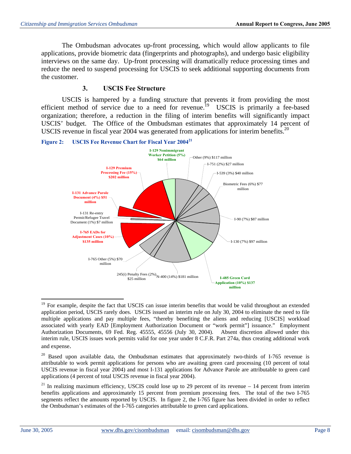The Ombudsman advocates up-front processing, which would allow applicants to file applications, provide biometric data (fingerprints and photographs), and undergo basic eligibility interviews on the same day. Up-front processing will dramatically reduce processing times and reduce the need to suspend processing for USCIS to seek additional supporting documents from the customer.

#### **3. USCIS Fee Structure**

USCIS is hampered by a funding structure that prevents it from providing the most efficient method of service due to a need for revenue.<sup>19</sup> USCIS is primarily a fee-based organization; therefore, a reduction in the filing of interim benefits will significantly impact USCIS' budget. The Office of the Ombudsman estimates that approximately 14 percent of USCIS revenue in fiscal year 2004 was generated from applications for interim benefits.<sup>20</sup>

**Figure 2: USCIS Fee Revenue Chart for Fiscal Year 200421** 



 $19$  For example, despite the fact that USCIS can issue interim benefits that would be valid throughout an extended application period, USCIS rarely does. USCIS issued an interim rule on July 30, 2004 to eliminate the need to file multiple applications and pay multiple fees, "thereby benefiting the aliens and reducing [USCIS] workload associated with yearly EAD [Employment Authorization Document or "work permit"] issuance." Employment Authorization Documents, 69 Fed. Reg. 45555, 45556 (July 30, 2004). Absent discretion allowed under this interim rule, USCIS issues work permits valid for one year under 8 C.F.R. Part 274a, thus creating additional work and expense.

<sup>&</sup>lt;sup>20</sup> Based upon available data, the Ombudsman estimates that approximately two-thirds of I-765 revenue is attributable to work permit applications for persons who are awaiting green card processing (10 percent of total USCIS revenue in fiscal year 2004) and most I-131 applications for Advance Parole are attributable to green card applications (4 percent of total USCIS revenue in fiscal year 2004).

<sup>&</sup>lt;sup>21</sup> In realizing maximum efficiency, USCIS could lose up to 29 percent of its revenue – 14 percent from interim benefits applications and approximately 15 percent from premium processing fees. The total of the two I-765 segments reflect the amounts reported by USCIS. In figure 2, the I-765 figure has been divided in order to reflect the Ombudsman's estimates of the I-765 categories attributable to green card applications.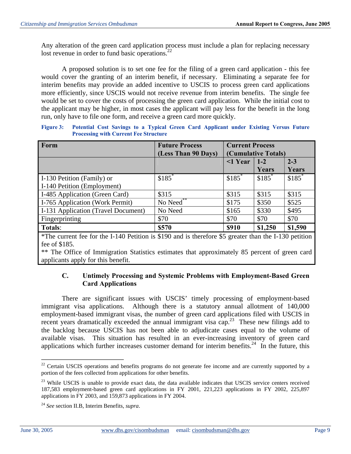Any alteration of the green card application process must include a plan for replacing necessary lost revenue in order to fund basic operations.<sup>22</sup>

A proposed solution is to set one fee for the filing of a green card application - this fee would cover the granting of an interim benefit, if necessary. Eliminating a separate fee for interim benefits may provide an added incentive to USCIS to process green card applications more efficiently, since USCIS would not receive revenue from interim benefits. The single fee would be set to cover the costs of processing the green card application. While the initial cost to the applicant may be higher, in most cases the applicant will pay less for the benefit in the long run, only have to file one form, and receive a green card more quickly.

**Figure 3: Potential Cost Savings to a Typical Green Card Applicant under Existing Versus Future Processing with Current Fee Structure** 

| Form                                | <b>Future Process</b> | <b>Current Process</b> |                     |                     |
|-------------------------------------|-----------------------|------------------------|---------------------|---------------------|
|                                     | (Less Than 90 Days)   |                        | (Cumulative Totals) |                     |
|                                     |                       | $\leq$ 1 Year          | $1 - 2$             | $2 - 3$             |
|                                     |                       |                        | Years               | Years               |
| I-130 Petition (Family) or          | $$185$ <sup>*</sup>   | $$185$ <sup>*</sup>    | $$185$ <sup>*</sup> | $$185$ <sup>*</sup> |
| I-140 Petition (Employment)         |                       |                        |                     |                     |
| I-485 Application (Green Card)      | \$315                 | \$315                  | \$315               | \$315               |
| I-765 Application (Work Permit)     | No Need**             | \$175                  | \$350               | \$525               |
| I-131 Application (Travel Document) | No Need               | \$165                  | \$330               | \$495               |
| Fingerprinting                      | \$70                  | \$70                   | \$70                | \$70                |
| <b>Totals:</b>                      | \$570                 | <b>\$910</b>           | \$1,250             | \$1,590             |

\*The current fee for the I-140 Petition is \$190 and is therefore \$5 greater than the I-130 petition fee of \$185.

\*\* The Office of Immigration Statistics estimates that approximately 85 percent of green card applicants apply for this benefit.

#### **C. Untimely Processing and Systemic Problems with Employment-Based Green Card Applications**

There are significant issues with USCIS' timely processing of employment-based immigrant visa applications. Although there is a statutory annual allotment of 140,000 employment-based immigrant visas, the number of green card applications filed with USCIS in recent years dramatically exceeded the annual immigrant visa cap.<sup>23</sup> These new filings add to the backlog because USCIS has not been able to adjudicate cases equal to the volume of available visas. This situation has resulted in an ever-increasing inventory of green card applications which further increases customer demand for interim benefits.<sup>24</sup> In the future, this

 $22$  Certain USCIS operations and benefits programs do not generate fee income and are currently supported by a portion of the fees collected from applications for other benefits.

 $23$  While USCIS is unable to provide exact data, the data available indicates that USCIS service centers received 187,583 employment-based green card applications in FY 2001, 221,223 applications in FY 2002, 225,897 applications in FY 2003, and 159,873 applications in FY 2004.

<sup>24</sup>*See* section II.B, Interim Benefits, *supra*.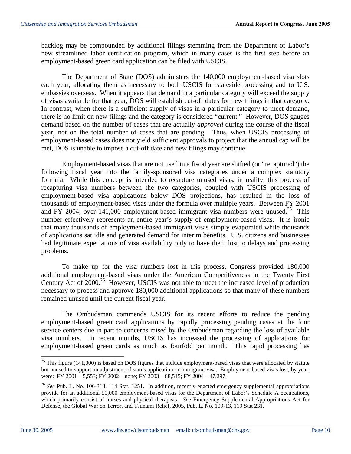backlog may be compounded by additional filings stemming from the Department of Labor's new streamlined labor certification program, which in many cases is the first step before an employment-based green card application can be filed with USCIS.

The Department of State (DOS) administers the 140,000 employment-based visa slots each year, allocating them as necessary to both USCIS for stateside processing and to U.S. embassies overseas. When it appears that demand in a particular category will exceed the supply of visas available for that year, DOS will establish cut-off dates for new filings in that category. In contrast, when there is a sufficient supply of visas in a particular category to meet demand, there is no limit on new filings and the category is considered "current." However, DOS gauges demand based on the number of cases that are actually *approved* during the course of the fiscal year, not on the total number of cases that are pending. Thus, when USCIS processing of employment-based cases does not yield sufficient approvals to project that the annual cap will be met, DOS is unable to impose a cut-off date and new filings may continue.

Employment-based visas that are not used in a fiscal year are shifted (or "recaptured") the following fiscal year into the family-sponsored visa categories under a complex statutory formula. While this concept is intended to recapture unused visas, in reality, this process of recapturing visa numbers between the two categories, coupled with USCIS processing of employment-based visa applications below DOS projections, has resulted in the loss of thousands of employment-based visas under the formula over multiple years. Between FY 2001 and FY 2004, over 141,000 employment-based immigrant visa numbers were unused.<sup>25</sup> This number effectively represents an entire year's supply of employment-based visas. It is ironic that many thousands of employment-based immigrant visas simply evaporated while thousands of applications sat idle and generated demand for interim benefits. U.S. citizens and businesses had legitimate expectations of visa availability only to have them lost to delays and processing problems.

To make up for the visa numbers lost in this process, Congress provided 180,000 additional employment-based visas under the American Competitiveness in the Twenty First Century Act of 2000.<sup>26</sup> However, USCIS was not able to meet the increased level of production necessary to process and approve 180,000 additional applications so that many of these numbers remained unused until the current fiscal year.

The Ombudsman commends USCIS for its recent efforts to reduce the pending employment-based green card applications by rapidly processing pending cases at the four service centers due in part to concerns raised by the Ombudsman regarding the loss of available visa numbers. In recent months, USCIS has increased the processing of applications for employment-based green cards as much as fourfold per month. This rapid processing has

 $25$  This figure (141,000) is based on DOS figures that include employment-based visas that were allocated by statute but unused to support an adjustment of status application or immigrant visa. Employment-based visas lost, by year, were: FY 2001—5,553; FY 2002—none; FY 2003—88,515; FY 2004—47,297.

<sup>&</sup>lt;sup>26</sup> See Pub. L. No. 106-313, 114 Stat. 1251. In addition, recently enacted emergency supplemental appropriations provide for an additional 50,000 employment-based visas for the Department of Labor's Schedule A occupations, which primarily consist of nurses and physical therapists. *See* Emergency Supplemental Appropriations Act for Defense, the Global War on Terror, and Tsunami Relief, 2005, Pub. L. No. 109-13, 119 Stat 231.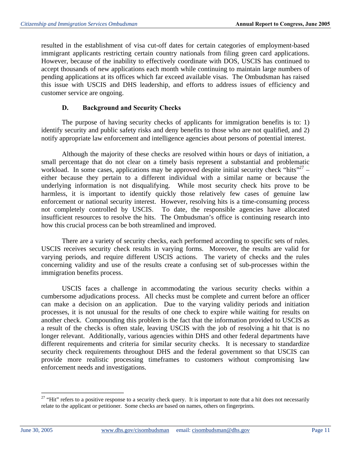resulted in the establishment of visa cut-off dates for certain categories of employment-based immigrant applicants restricting certain country nationals from filing green card applications. However, because of the inability to effectively coordinate with DOS, USCIS has continued to accept thousands of new applications each month while continuing to maintain large numbers of pending applications at its offices which far exceed available visas. The Ombudsman has raised this issue with USCIS and DHS leadership, and efforts to address issues of efficiency and customer service are ongoing.

#### **D. Background and Security Checks**

The purpose of having security checks of applicants for immigration benefits is to: 1) identify security and public safety risks and deny benefits to those who are not qualified, and 2) notify appropriate law enforcement and intelligence agencies about persons of potential interest.

Although the majority of these checks are resolved within hours or days of initiation, a small percentage that do not clear on a timely basis represent a substantial and problematic workload. In some cases, applications may be approved despite initial security check "hits"<sup>27</sup> – either because they pertain to a different individual with a similar name or because the underlying information is not disqualifying. While most security check hits prove to be harmless, it is important to identify quickly those relatively few cases of genuine law enforcement or national security interest. However, resolving hits is a time-consuming process not completely controlled by USCIS. To date, the responsible agencies have allocated insufficient resources to resolve the hits. The Ombudsman's office is continuing research into how this crucial process can be both streamlined and improved.

There are a variety of security checks, each performed according to specific sets of rules. USCIS receives security check results in varying forms. Moreover, the results are valid for varying periods, and require different USCIS actions. The variety of checks and the rules concerning validity and use of the results create a confusing set of sub-processes within the immigration benefits process.

USCIS faces a challenge in accommodating the various security checks within a cumbersome adjudications process. All checks must be complete and current before an officer can make a decision on an application. Due to the varying validity periods and initiation processes, it is not unusual for the results of one check to expire while waiting for results on another check. Compounding this problem is the fact that the information provided to USCIS as a result of the checks is often stale, leaving USCIS with the job of resolving a hit that is no longer relevant. Additionally, various agencies within DHS and other federal departments have different requirements and criteria for similar security checks. It is necessary to standardize security check requirements throughout DHS and the federal government so that USCIS can provide more realistic processing timeframes to customers without compromising law enforcement needs and investigations.

 $27$  "Hit" refers to a positive response to a security check query. It is important to note that a hit does not necessarily relate to the applicant or petitioner. Some checks are based on names, others on fingerprints.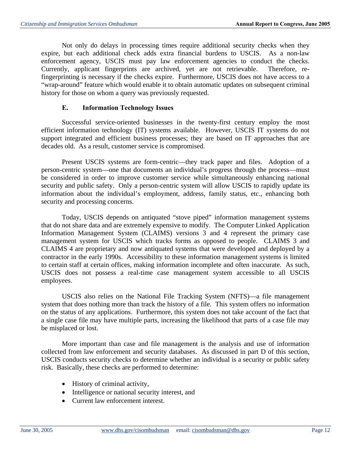Not only do delays in processing times require additional security checks when they expire, but each additional check adds extra financial burdens to USCIS. As a non-law enforcement agency, USCIS must pay law enforcement agencies to conduct the checks. Currently, applicant fingerprints are archived, yet are not retrievable. Therefore, refingerprinting is necessary if the checks expire. Furthermore, USCIS does not have access to a "wrap-around" feature which would enable it to obtain automatic updates on subsequent criminal history for those on whom a query was previously requested.

#### **E. Information Technology Issues**

Successful service-oriented businesses in the twenty-first century employ the most efficient information technology (IT) systems available. However, USCIS IT systems do not support integrated and efficient business processes; they are based on IT approaches that are decades old. As a result, customer service is compromised.

Present USCIS systems are form-centric—they track paper and files. Adoption of a person-centric system—one that documents an individual's progress through the process—must be considered in order to improve customer service while simultaneously enhancing national security and public safety. Only a person-centric system will allow USCIS to rapidly update its information about the individual's employment, address, family status, etc., enhancing both security and processing concerns.

Today, USCIS depends on antiquated "stove piped" information management systems that do not share data and are extremely expensive to modify. The Computer Linked Application Information Management System (CLAIMS) versions 3 and 4 represent the primary case management system for USCIS which tracks forms as opposed to people. CLAIMS 3 and CLAIMS 4 are proprietary and now antiquated systems that were developed and deployed by a contractor in the early 1990s. Accessibility to these information management systems is limited to certain staff at certain offices, making information incomplete and often inaccurate. As such, USCIS does not possess a real-time case management system accessible to all USCIS employees.

USCIS also relies on the National File Tracking System (NFTS)—a file management system that does nothing more than track the history of a file. This system offers no information on the status of any applications. Furthermore, this system does not take account of the fact that a single case file may have multiple parts, increasing the likelihood that parts of a case file may be misplaced or lost.

More important than case and file management is the analysis and use of information collected from law enforcement and security databases. As discussed in part D of this section, USCIS conducts security checks to determine whether an individual is a security or public safety risk. Basically, these checks are performed to determine:

- History of criminal activity,
- Intelligence or national security interest, and
- Current law enforcement interest.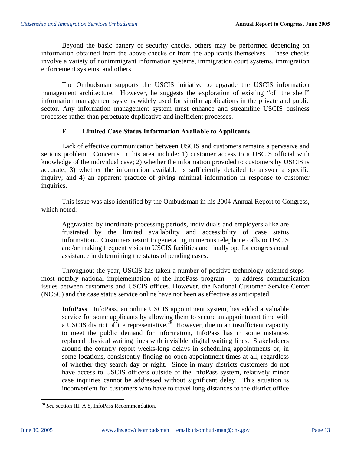Beyond the basic battery of security checks, others may be performed depending on information obtained from the above checks or from the applicants themselves. These checks involve a variety of nonimmigrant information systems, immigration court systems, immigration enforcement systems, and others.

The Ombudsman supports the USCIS initiative to upgrade the USCIS information management architecture. However, he suggests the exploration of existing "off the shelf" information management systems widely used for similar applications in the private and public sector. Any information management system must enhance and streamline USCIS business processes rather than perpetuate duplicative and inefficient processes.

#### **F. Limited Case Status Information Available to Applicants**

Lack of effective communication between USCIS and customers remains a pervasive and serious problem. Concerns in this area include: 1) customer access to a USCIS official with knowledge of the individual case; 2) whether the information provided to customers by USCIS is accurate; 3) whether the information available is sufficiently detailed to answer a specific inquiry; and 4) an apparent practice of giving minimal information in response to customer inquiries.

This issue was also identified by the Ombudsman in his 2004 Annual Report to Congress, which noted:

Aggravated by inordinate processing periods, individuals and employers alike are frustrated by the limited availability and accessibility of case status information…Customers resort to generating numerous telephone calls to USCIS and/or making frequent visits to USCIS facilities and finally opt for congressional assistance in determining the status of pending cases.

Throughout the year, USCIS has taken a number of positive technology-oriented steps – most notably national implementation of the InfoPass program – to address communication issues between customers and USCIS offices. However, the National Customer Service Center (NCSC) and the case status service online have not been as effective as anticipated.

**InfoPass**. InfoPass, an online USCIS appointment system, has added a valuable service for some applicants by allowing them to secure an appointment time with a USCIS district office representative.<sup>28</sup> However, due to an insufficient capacity to meet the public demand for information, InfoPass has in some instances replaced physical waiting lines with invisible, digital waiting lines. Stakeholders around the country report weeks-long delays in scheduling appointments or, in some locations, consistently finding no open appointment times at all, regardless of whether they search day or night. Since in many districts customers do not have access to USCIS officers outside of the InfoPass system, relatively minor case inquiries cannot be addressed without significant delay. This situation is inconvenient for customers who have to travel long distances to the district office

<sup>28</sup>*See* section III. A.8, InfoPass Recommendation.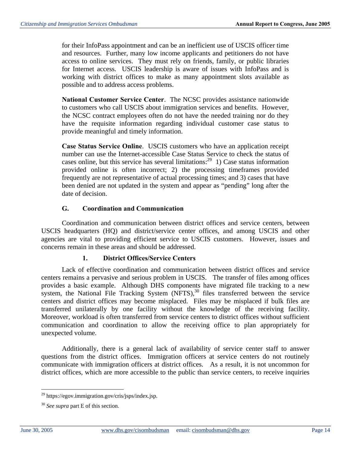for their InfoPass appointment and can be an inefficient use of USCIS officer time and resources. Further, many low income applicants and petitioners do not have access to online services. They must rely on friends, family, or public libraries for Internet access. USCIS leadership is aware of issues with InfoPass and is working with district offices to make as many appointment slots available as possible and to address access problems.

**National Customer Service Center**. The NCSC provides assistance nationwide to customers who call USCIS about immigration services and benefits. However, the NCSC contract employees often do not have the needed training nor do they have the requisite information regarding individual customer case status to provide meaningful and timely information.

**Case Status Service Online**. USCIS customers who have an application receipt number can use the Internet-accessible Case Status Service to check the status of cases online, but this service has several limitations:<sup>29</sup> 1) Case status information provided online is often incorrect; 2) the processing timeframes provided frequently are not representative of actual processing times; and 3) cases that have been denied are not updated in the system and appear as "pending" long after the date of decision.

## **G. Coordination and Communication**

Coordination and communication between district offices and service centers, between USCIS headquarters (HQ) and district/service center offices, and among USCIS and other agencies are vital to providing efficient service to USCIS customers. However, issues and concerns remain in these areas and should be addressed.

#### **1. District Offices/Service Centers**

Lack of effective coordination and communication between district offices and service centers remains a pervasive and serious problem in USCIS. The transfer of files among offices provides a basic example. Although DHS components have migrated file tracking to a new system, the National File Tracking System  $(NFTS)$ ,<sup>30</sup> files transferred between the service centers and district offices may become misplaced. Files may be misplaced if bulk files are transferred unilaterally by one facility without the knowledge of the receiving facility. Moreover, workload is often transferred from service centers to district offices without sufficient communication and coordination to allow the receiving office to plan appropriately for unexpected volume.

Additionally, there is a general lack of availability of service center staff to answer questions from the district offices. Immigration officers at service centers do not routinely communicate with immigration officers at district offices. As a result, it is not uncommon for district offices, which are more accessible to the public than service centers, to receive inquiries

<sup>29</sup> https://egov.immigration.gov/cris/jsps/index.jsp.

<sup>30</sup>*See supra* part E of this section.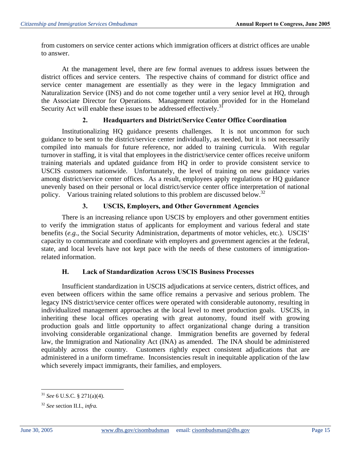from customers on service center actions which immigration officers at district offices are unable to answer.

At the management level, there are few formal avenues to address issues between the district offices and service centers. The respective chains of command for district office and service center management are essentially as they were in the legacy Immigration and Naturalization Service (INS) and do not come together until a very senior level at HQ, through the Associate Director for Operations. Management rotation provided for in the Homeland Security Act will enable these issues to be addressed effectively.<sup>31</sup>

## **2. Headquarters and District/Service Center Office Coordination**

Institutionalizing HQ guidance presents challenges. It is not uncommon for such guidance to be sent to the district/service center individually, as needed, but it is not necessarily compiled into manuals for future reference, nor added to training curricula. With regular turnover in staffing, it is vital that employees in the district/service center offices receive uniform training materials and updated guidance from HQ in order to provide consistent service to USCIS customers nationwide. Unfortunately, the level of training on new guidance varies among district/service center offices. As a result, employees apply regulations or HQ guidance unevenly based on their personal or local district/service center office interpretation of national policy. Various training related solutions to this problem are discussed below.<sup>32</sup>

## **3. USCIS, Employers, and Other Government Agencies**

There is an increasing reliance upon USCIS by employers and other government entities to verify the immigration status of applicants for employment and various federal and state benefits (e.g., the Social Security Administration, departments of motor vehicles, etc.). USCIS' capacity to communicate and coordinate with employers and government agencies at the federal, state, and local levels have not kept pace with the needs of these customers of immigrationrelated information.

## **H. Lack of Standardization Across USCIS Business Processes**

Insufficient standardization in USCIS adjudications at service centers, district offices, and even between officers within the same office remains a pervasive and serious problem. The legacy INS district/service center offices were operated with considerable autonomy, resulting in individualized management approaches at the local level to meet production goals. USCIS, in inheriting these local offices operating with great autonomy, found itself with growing production goals and little opportunity to affect organizational change during a transition involving considerable organizational change. Immigration benefits are governed by federal law, the Immigration and Nationality Act (INA) as amended. The INA should be administered equitably across the country. Customers rightly expect consistent adjudications that are administered in a uniform timeframe. Inconsistencies result in inequitable application of the law which severely impact immigrants, their families, and employers.

<sup>31</sup>*See* 6 U.S.C. § 271(a)(4).

<sup>32</sup>*See* section II.I., *infra.*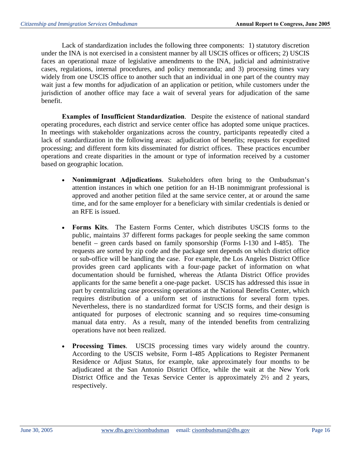Lack of standardization includes the following three components: 1) statutory discretion under the INA is not exercised in a consistent manner by all USCIS offices or officers; 2) USCIS faces an operational maze of legislative amendments to the INA, judicial and administrative cases, regulations, internal procedures, and policy memoranda; and 3) processing times vary widely from one USCIS office to another such that an individual in one part of the country may wait just a few months for adjudication of an application or petition, while customers under the jurisdiction of another office may face a wait of several years for adjudication of the same benefit.

**Examples of Insufficient Standardization**. Despite the existence of national standard operating procedures, each district and service center office has adopted some unique practices. In meetings with stakeholder organizations across the country, participants repeatedly cited a lack of standardization in the following areas: adjudication of benefits; requests for expedited processing; and different form kits disseminated for district offices. These practices encumber operations and create disparities in the amount or type of information received by a customer based on geographic location.

- **Nonimmigrant Adjudications**. Stakeholders often bring to the Ombudsman's attention instances in which one petition for an H-1B nonimmigrant professional is approved and another petition filed at the same service center, at or around the same time, and for the same employer for a beneficiary with similar credentials is denied or an RFE is issued.
- **Forms Kits**. The Eastern Forms Center, which distributes USCIS forms to the public, maintains 37 different forms packages for people seeking the same common benefit – green cards based on family sponsorship (Forms I-130 and I-485). The requests are sorted by zip code and the package sent depends on which district office or sub-office will be handling the case. For example, the Los Angeles District Office provides green card applicants with a four-page packet of information on what documentation should be furnished, whereas the Atlanta District Office provides applicants for the same benefit a one-page packet. USCIS has addressed this issue in part by centralizing case processing operations at the National Benefits Center, which requires distribution of a uniform set of instructions for several form types. Nevertheless, there is no standardized format for USCIS forms, and their design is antiquated for purposes of electronic scanning and so requires time-consuming manual data entry. As a result, many of the intended benefits from centralizing operations have not been realized.
- **Processing Times**. USCIS processing times vary widely around the country. According to the USCIS website, Form I-485 Applications to Register Permanent Residence or Adjust Status, for example, take approximately four months to be adjudicated at the San Antonio District Office, while the wait at the New York District Office and the Texas Service Center is approximately 2½ and 2 years, respectively.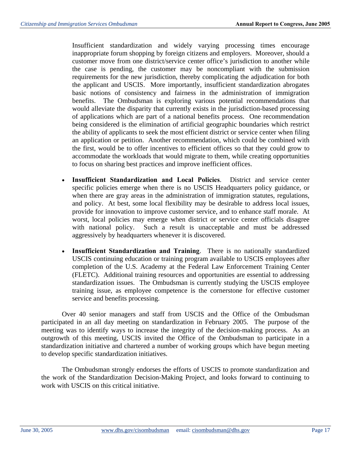Insufficient standardization and widely varying processing times encourage inappropriate forum shopping by foreign citizens and employers. Moreover, should a customer move from one district/service center office's jurisdiction to another while the case is pending, the customer may be noncompliant with the submission requirements for the new jurisdiction, thereby complicating the adjudication for both the applicant and USCIS. More importantly, insufficient standardization abrogates basic notions of consistency and fairness in the administration of immigration benefits. The Ombudsman is exploring various potential recommendations that would alleviate the disparity that currently exists in the jurisdiction-based processing of applications which are part of a national benefits process. One recommendation being considered is the elimination of artificial geographic boundaries which restrict the ability of applicants to seek the most efficient district or service center when filing an application or petition. Another recommendation, which could be combined with the first, would be to offer incentives to efficient offices so that they could grow to accommodate the workloads that would migrate to them, while creating opportunities to focus on sharing best practices and improve inefficient offices.

- **Insufficient Standardization and Local Policies**. District and service center specific policies emerge when there is no USCIS Headquarters policy guidance, or when there are gray areas in the administration of immigration statutes, regulations, and policy. At best, some local flexibility may be desirable to address local issues, provide for innovation to improve customer service, and to enhance staff morale. At worst, local policies may emerge when district or service center officials disagree with national policy. Such a result is unacceptable and must be addressed aggressively by headquarters whenever it is discovered.
- **Insufficient Standardization and Training**. There is no nationally standardized USCIS continuing education or training program available to USCIS employees after completion of the U.S. Academy at the Federal Law Enforcement Training Center (FLETC). Additional training resources and opportunities are essential to addressing standardization issues. The Ombudsman is currently studying the USCIS employee training issue, as employee competence is the cornerstone for effective customer service and benefits processing.

Over 40 senior managers and staff from USCIS and the Office of the Ombudsman participated in an all day meeting on standardization in February 2005. The purpose of the meeting was to identify ways to increase the integrity of the decision-making process. As an outgrowth of this meeting, USCIS invited the Office of the Ombudsman to participate in a standardization initiative and chartered a number of working groups which have begun meeting to develop specific standardization initiatives.

The Ombudsman strongly endorses the efforts of USCIS to promote standardization and the work of the Standardization Decision-Making Project, and looks forward to continuing to work with USCIS on this critical initiative.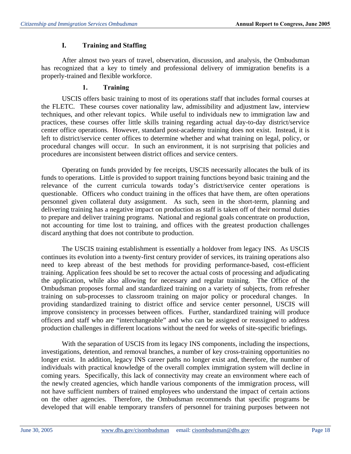## **I. Training and Staffing**

After almost two years of travel, observation, discussion, and analysis, the Ombudsman has recognized that a key to timely and professional delivery of immigration benefits is a properly-trained and flexible workforce.

## **1. Training**

USCIS offers basic training to most of its operations staff that includes formal courses at the FLETC. These courses cover nationality law, admissibility and adjustment law, interview techniques, and other relevant topics. While useful to individuals new to immigration law and practices, these courses offer little skills training regarding actual day-to-day district/service center office operations. However, standard post-academy training does not exist. Instead, it is left to district/service center offices to determine whether and what training on legal, policy, or procedural changes will occur. In such an environment, it is not surprising that policies and procedures are inconsistent between district offices and service centers.

Operating on funds provided by fee receipts, USCIS necessarily allocates the bulk of its funds to operations. Little is provided to support training functions beyond basic training and the relevance of the current curricula towards today's district/service center operations is questionable. Officers who conduct training in the offices that have them, are often operations personnel given collateral duty assignment. As such, seen in the short-term, planning and delivering training has a negative impact on production as staff is taken off of their normal duties to prepare and deliver training programs. National and regional goals concentrate on production, not accounting for time lost to training, and offices with the greatest production challenges discard anything that does not contribute to production.

The USCIS training establishment is essentially a holdover from legacy INS. As USCIS continues its evolution into a twenty-first century provider of services, its training operations also need to keep abreast of the best methods for providing performance-based, cost-efficient training. Application fees should be set to recover the actual costs of processing and adjudicating the application, while also allowing for necessary and regular training. The Office of the Ombudsman proposes formal and standardized training on a variety of subjects, from refresher training on sub-processes to classroom training on major policy or procedural changes. In providing standardized training to district office and service center personnel, USCIS will improve consistency in processes between offices. Further, standardized training will produce officers and staff who are "interchangeable" and who can be assigned or reassigned to address production challenges in different locations without the need for weeks of site-specific briefings.

With the separation of USCIS from its legacy INS components, including the inspections, investigations, detention, and removal branches, a number of key cross-training opportunities no longer exist. In addition, legacy INS career paths no longer exist and, therefore, the number of individuals with practical knowledge of the overall complex immigration system will decline in coming years. Specifically, this lack of connectivity may create an environment where each of the newly created agencies, which handle various components of the immigration process, will not have sufficient numbers of trained employees who understand the impact of certain actions on the other agencies. Therefore, the Ombudsman recommends that specific programs be developed that will enable temporary transfers of personnel for training purposes between not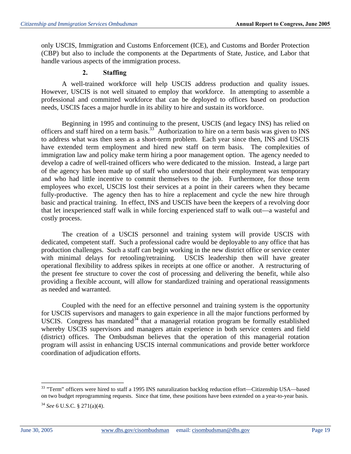only USCIS, Immigration and Customs Enforcement (ICE), and Customs and Border Protection (CBP) but also to include the components at the Departments of State, Justice, and Labor that handle various aspects of the immigration process.

#### **2. Staffing**

A well-trained workforce will help USCIS address production and quality issues. However, USCIS is not well situated to employ that workforce. In attempting to assemble a professional and committed workforce that can be deployed to offices based on production needs, USCIS faces a major hurdle in its ability to hire and sustain its workforce.

Beginning in 1995 and continuing to the present, USCIS (and legacy INS) has relied on officers and staff hired on a term basis.33 Authorization to hire on a term basis was given to INS to address what was then seen as a short-term problem. Each year since then, INS and USCIS have extended term employment and hired new staff on term basis. The complexities of immigration law and policy make term hiring a poor management option. The agency needed to develop a cadre of well-trained officers who were dedicated to the mission. Instead, a large part of the agency has been made up of staff who understood that their employment was temporary and who had little incentive to commit themselves to the job. Furthermore, for those term employees who excel, USCIS lost their services at a point in their careers when they became fully-productive. The agency then has to hire a replacement and cycle the new hire through basic and practical training. In effect, INS and USCIS have been the keepers of a revolving door that let inexperienced staff walk in while forcing experienced staff to walk out—a wasteful and costly process.

The creation of a USCIS personnel and training system will provide USCIS with dedicated, competent staff. Such a professional cadre would be deployable to any office that has production challenges. Such a staff can begin working in the new district office or service center with minimal delays for retooling/retraining. USCIS leadership then will have greater operational flexibility to address spikes in receipts at one office or another. A restructuring of the present fee structure to cover the cost of processing and delivering the benefit, while also providing a flexible account, will allow for standardized training and operational reassignments as needed and warranted.

Coupled with the need for an effective personnel and training system is the opportunity for USCIS supervisors and managers to gain experience in all the major functions performed by USCIS. Congress has mandated  $34$  that a managerial rotation program be formally established whereby USCIS supervisors and managers attain experience in both service centers and field (district) offices. The Ombudsman believes that the operation of this managerial rotation program will assist in enhancing USCIS internal communications and provide better workforce coordination of adjudication efforts.

<sup>&</sup>lt;sup>33</sup> "Term" officers were hired to staff a 1995 INS naturalization backlog reduction effort—Citizenship USA—based on two budget reprogramming requests. Since that time, these positions have been extended on a year-to-year basis.

<sup>34</sup>*See* 6 U.S.C. § 271(a)(4).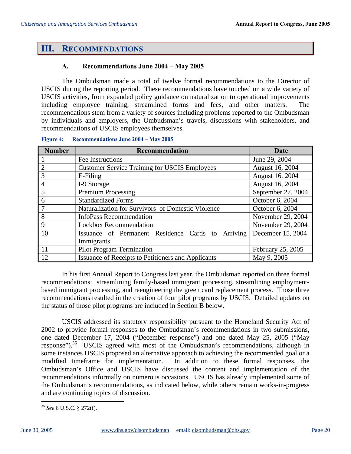## **III. RECOMMENDATIONS**

#### **A. Recommendations June 2004 – May 2005**

The Ombudsman made a total of twelve formal recommendations to the Director of USCIS during the reporting period. These recommendations have touched on a wide variety of USCIS activities, from expanded policy guidance on naturalization to operational improvements including employee training, streamlined forms and fees, and other matters. recommendations stem from a variety of sources including problems reported to the Ombudsman by individuals and employers, the Ombudsman's travels, discussions with stakeholders, and recommendations of USCIS employees themselves.

| <b>Number</b>  | Recommendation                                                       | Date              |  |  |  |
|----------------|----------------------------------------------------------------------|-------------------|--|--|--|
|                | Fee Instructions                                                     | June 29, 2004     |  |  |  |
| $\overline{2}$ | <b>Customer Service Training for USCIS Employees</b>                 | August 16, 2004   |  |  |  |
| 3              | E-Filing                                                             | August 16, 2004   |  |  |  |
| 4              | I-9 Storage                                                          | August 16, 2004   |  |  |  |
| 5              | September 27, 2004<br><b>Premium Processing</b>                      |                   |  |  |  |
| 6              | <b>Standardized Forms</b><br>October 6, 2004                         |                   |  |  |  |
|                | Naturalization for Survivors of Domestic Violence<br>October 6, 2004 |                   |  |  |  |
| 8              | <b>InfoPass Recommendation</b>                                       | November 29, 2004 |  |  |  |
| 9              | November 29, 2004<br><b>Lockbox Recommendation</b>                   |                   |  |  |  |
| 10             | Arriving<br>Issuance of Permanent Residence Cards to                 | December 15, 2004 |  |  |  |
|                | Immigrants                                                           |                   |  |  |  |
| 11             | <b>Pilot Program Termination</b>                                     | February 25, 2005 |  |  |  |
| 12             | Issuance of Receipts to Petitioners and Applicants<br>May 9, 2005    |                   |  |  |  |

#### **Figure 4: Recommendations June 2004 – May 2005**

In his first Annual Report to Congress last year, the Ombudsman reported on three formal recommendations: streamlining family-based immigrant processing, streamlining employmentbased immigrant processing, and reengineering the green card replacement process. Those three recommendations resulted in the creation of four pilot programs by USCIS. Detailed updates on the status of those pilot programs are included in Section B below.

USCIS addressed its statutory responsibility pursuant to the Homeland Security Act of 2002 to provide formal responses to the Ombudsman's recommendations in two submissions, one dated December 17, 2004 ("December response") and one dated May 25, 2005 ("May response").<sup>35</sup> USCIS agreed with most of the Ombudsman's recommendations, although in some instances USCIS proposed an alternative approach to achieving the recommended goal or a modified timeframe for implementation. In addition to these formal responses, the Ombudsman's Office and USCIS have discussed the content and implementation of the recommendations informally on numerous occasions. USCIS has already implemented some of the Ombudsman's recommendations, as indicated below, while others remain works-in-progress and are continuing topics of discussion.

<sup>35</sup>*See* 6 U.S.C. § 272(f).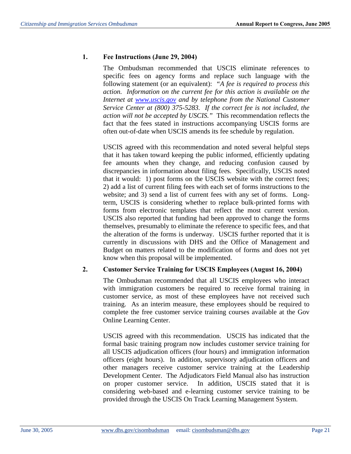## **1. Fee Instructions (June 29, 2004)**

The Ombudsman recommended that USCIS eliminate references to specific fees on agency forms and replace such language with the following statement (or an equivalent): *"A fee is required to process this action. Information on the current fee for this action is available on the Internet at www.uscis.gov and by telephone from the National Customer Service Center at (800) 375-5283. If the correct fee is not included, the action will not be accepted by USCIS."* This recommendation reflects the fact that the fees stated in instructions accompanying USCIS forms are often out-of-date when USCIS amends its fee schedule by regulation.

USCIS agreed with this recommendation and noted several helpful steps that it has taken toward keeping the public informed, efficiently updating fee amounts when they change, and reducing confusion caused by discrepancies in information about filing fees. Specifically, USCIS noted that it would: 1) post forms on the USCIS website with the correct fees; 2) add a list of current filing fees with each set of forms instructions to the website; and 3) send a list of current fees with any set of forms. Longterm, USCIS is considering whether to replace bulk-printed forms with forms from electronic templates that reflect the most current version. USCIS also reported that funding had been approved to change the forms themselves, presumably to eliminate the reference to specific fees, and that the alteration of the forms is underway. USCIS further reported that it is currently in discussions with DHS and the Office of Management and Budget on matters related to the modification of forms and does not yet know when this proposal will be implemented.

## **2. Customer Service Training for USCIS Employees (August 16, 2004)**

The Ombudsman recommended that all USCIS employees who interact with immigration customers be required to receive formal training in customer service, as most of these employees have not received such training. As an interim measure, these employees should be required to complete the free customer service training courses available at the Gov Online Learning Center.

USCIS agreed with this recommendation. USCIS has indicated that the formal basic training program now includes customer service training for all USCIS adjudication officers (four hours) and immigration information officers (eight hours). In addition, supervisory adjudication officers and other managers receive customer service training at the Leadership Development Center. The Adjudicators Field Manual also has instruction on proper customer service. In addition, USCIS stated that it is considering web-based and e-learning customer service training to be provided through the USCIS On Track Learning Management System.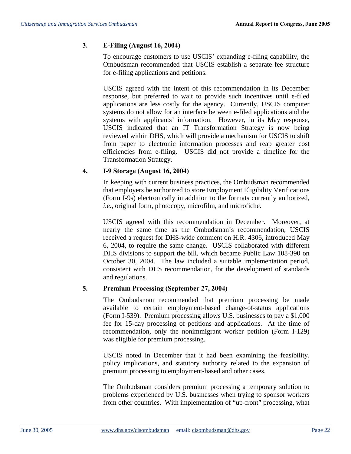## **3. E-Filing (August 16, 2004)**

To encourage customers to use USCIS' expanding e-filing capability, the Ombudsman recommended that USCIS establish a separate fee structure for e-filing applications and petitions.

USCIS agreed with the intent of this recommendation in its December response, but preferred to wait to provide such incentives until e-filed applications are less costly for the agency. Currently, USCIS computer systems do not allow for an interface between e-filed applications and the systems with applicants' information. However, in its May response, USCIS indicated that an IT Transformation Strategy is now being reviewed within DHS, which will provide a mechanism for USCIS to shift from paper to electronic information processes and reap greater cost efficiencies from e-filing. USCIS did not provide a timeline for the Transformation Strategy.

# **4. I-9 Storage (August 16, 2004)**

In keeping with current business practices, the Ombudsman recommended that employers be authorized to store Employment Eligibility Verifications (Form I-9s) electronically in addition to the formats currently authorized, *i.e.*, original form, photocopy, microfilm, and microfiche.

USCIS agreed with this recommendation in December. Moreover, at nearly the same time as the Ombudsman's recommendation, USCIS received a request for DHS-wide comment on H.R. 4306, introduced May 6, 2004, to require the same change. USCIS collaborated with different DHS divisions to support the bill, which became Public Law 108-390 on October 30, 2004. The law included a suitable implementation period, consistent with DHS recommendation, for the development of standards and regulations.

## **5. Premium Processing (September 27, 2004)**

The Ombudsman recommended that premium processing be made available to certain employment-based change-of-status applications (Form I-539). Premium processing allows U.S. businesses to pay a \$1,000 fee for 15-day processing of petitions and applications. At the time of recommendation, only the nonimmigrant worker petition (Form I-129) was eligible for premium processing.

USCIS noted in December that it had been examining the feasibility, policy implications, and statutory authority related to the expansion of premium processing to employment-based and other cases.

The Ombudsman considers premium processing a temporary solution to problems experienced by U.S. businesses when trying to sponsor workers from other countries. With implementation of "up-front" processing, what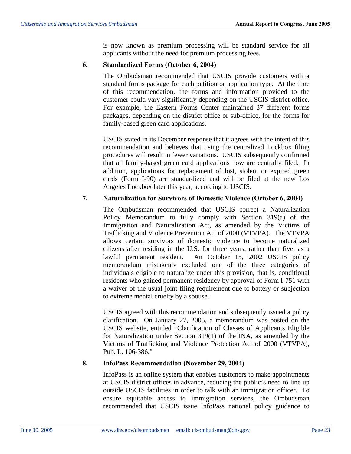is now known as premium processing will be standard service for all applicants without the need for premium processing fees.

## **6. Standardized Forms (October 6, 2004)**

The Ombudsman recommended that USCIS provide customers with a standard forms package for each petition or application type. At the time of this recommendation, the forms and information provided to the customer could vary significantly depending on the USCIS district office. For example, the Eastern Forms Center maintained 37 different forms packages, depending on the district office or sub-office, for the forms for family-based green card applications.

USCIS stated in its December response that it agrees with the intent of this recommendation and believes that using the centralized Lockbox filing procedures will result in fewer variations. USCIS subsequently confirmed that all family-based green card applications now are centrally filed. In addition, applications for replacement of lost, stolen, or expired green cards (Form I-90) are standardized and will be filed at the new Los Angeles Lockbox later this year, according to USCIS.

## **7. Naturalization for Survivors of Domestic Violence (October 6, 2004)**

The Ombudsman recommended that USCIS correct a Naturalization Policy Memorandum to fully comply with Section 319(a) of the Immigration and Naturalization Act, as amended by the Victims of Trafficking and Violence Prevention Act of 2000 (VTVPA). The VTVPA allows certain survivors of domestic violence to become naturalized citizens after residing in the U.S. for three years, rather than five, as a lawful permanent resident. An October 15, 2002 USCIS policy memorandum mistakenly excluded one of the three categories of individuals eligible to naturalize under this provision, that is, conditional residents who gained permanent residency by approval of Form I-751 with a waiver of the usual joint filing requirement due to battery or subjection to extreme mental cruelty by a spouse.

USCIS agreed with this recommendation and subsequently issued a policy clarification. On January 27, 2005, a memorandum was posted on the USCIS website, entitled "Clarification of Classes of Applicants Eligible for Naturalization under Section 319(1) of the INA, as amended by the Victims of Trafficking and Violence Protection Act of 2000 (VTVPA), Pub. L. 106-386."

## **8. InfoPass Recommendation (November 29, 2004)**

InfoPass is an online system that enables customers to make appointments at USCIS district offices in advance, reducing the public's need to line up outside USCIS facilities in order to talk with an immigration officer. To ensure equitable access to immigration services, the Ombudsman recommended that USCIS issue InfoPass national policy guidance to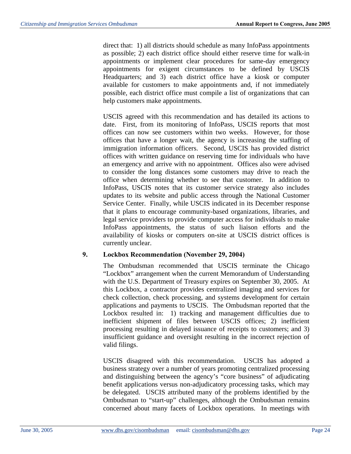direct that: 1) all districts should schedule as many InfoPass appointments as possible; 2) each district office should either reserve time for walk-in appointments or implement clear procedures for same-day emergency appointments for exigent circumstances to be defined by USCIS Headquarters; and 3) each district office have a kiosk or computer available for customers to make appointments and, if not immediately possible, each district office must compile a list of organizations that can help customers make appointments.

USCIS agreed with this recommendation and has detailed its actions to date. First, from its monitoring of InfoPass, USCIS reports that most offices can now see customers within two weeks. However, for those offices that have a longer wait, the agency is increasing the staffing of immigration information officers. Second, USCIS has provided district offices with written guidance on reserving time for individuals who have an emergency and arrive with no appointment. Offices also were advised to consider the long distances some customers may drive to reach the office when determining whether to see that customer. In addition to InfoPass, USCIS notes that its customer service strategy also includes updates to its website and public access through the National Customer Service Center. Finally, while USCIS indicated in its December response that it plans to encourage community-based organizations, libraries, and legal service providers to provide computer access for individuals to make InfoPass appointments, the status of such liaison efforts and the availability of kiosks or computers on-site at USCIS district offices is currently unclear.

#### **9. Lockbox Recommendation (November 29, 2004)**

The Ombudsman recommended that USCIS terminate the Chicago "Lockbox" arrangement when the current Memorandum of Understanding with the U.S. Department of Treasury expires on September 30, 2005. At this Lockbox, a contractor provides centralized imaging and services for check collection, check processing, and systems development for certain applications and payments to USCIS. The Ombudsman reported that the Lockbox resulted in: 1) tracking and management difficulties due to inefficient shipment of files between USCIS offices; 2) inefficient processing resulting in delayed issuance of receipts to customers; and 3) insufficient guidance and oversight resulting in the incorrect rejection of valid filings.

USCIS disagreed with this recommendation. USCIS has adopted a business strategy over a number of years promoting centralized processing and distinguishing between the agency's "core business" of adjudicating benefit applications versus non-adjudicatory processing tasks, which may be delegated. USCIS attributed many of the problems identified by the Ombudsman to "start-up" challenges, although the Ombudsman remains concerned about many facets of Lockbox operations. In meetings with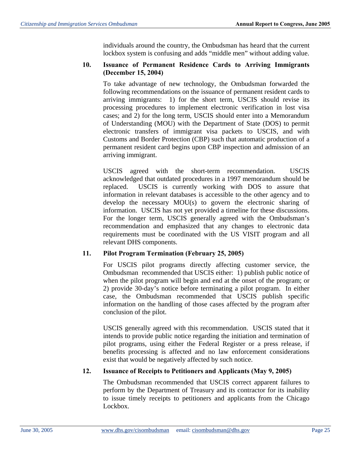individuals around the country, the Ombudsman has heard that the current lockbox system is confusing and adds "middle men" without adding value.

## **10. Issuance of Permanent Residence Cards to Arriving Immigrants (December 15, 2004)**

To take advantage of new technology, the Ombudsman forwarded the following recommendations on the issuance of permanent resident cards to arriving immigrants: 1) for the short term, USCIS should revise its processing procedures to implement electronic verification in lost visa cases; and 2) for the long term, USCIS should enter into a Memorandum of Understanding (MOU) with the Department of State (DOS) to permit electronic transfers of immigrant visa packets to USCIS, and with Customs and Border Protection (CBP) such that automatic production of a permanent resident card begins upon CBP inspection and admission of an arriving immigrant.

USCIS agreed with the short-term recommendation. USCIS acknowledged that outdated procedures in a 1997 memorandum should be replaced. USCIS is currently working with DOS to assure that information in relevant databases is accessible to the other agency and to develop the necessary MOU(s) to govern the electronic sharing of information. USCIS has not yet provided a timeline for these discussions. For the longer term, USCIS generally agreed with the Ombudsman's recommendation and emphasized that any changes to electronic data requirements must be coordinated with the US VISIT program and all relevant DHS components.

## **11. Pilot Program Termination (February 25, 2005)**

For USCIS pilot programs directly affecting customer service, the Ombudsman recommended that USCIS either: 1) publish public notice of when the pilot program will begin and end at the onset of the program; or 2) provide 30-day's notice before terminating a pilot program. In either case, the Ombudsman recommended that USCIS publish specific information on the handling of those cases affected by the program after conclusion of the pilot.

USCIS generally agreed with this recommendation. USCIS stated that it intends to provide public notice regarding the initiation and termination of pilot programs, using either the Federal Register or a press release, if benefits processing is affected and no law enforcement considerations exist that would be negatively affected by such notice.

## **12. Issuance of Receipts to Petitioners and Applicants (May 9, 2005)**

The Ombudsman recommended that USCIS correct apparent failures to perform by the Department of Treasury and its contractor for its inability to issue timely receipts to petitioners and applicants from the Chicago Lockbox.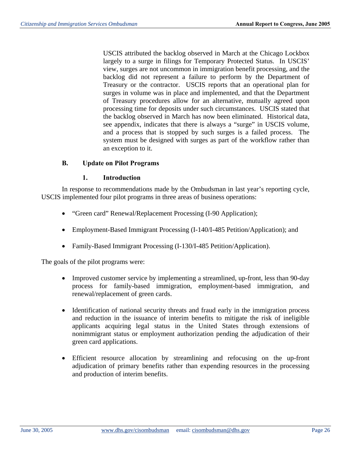USCIS attributed the backlog observed in March at the Chicago Lockbox largely to a surge in filings for Temporary Protected Status. In USCIS' view, surges are not uncommon in immigration benefit processing, and the backlog did not represent a failure to perform by the Department of Treasury or the contractor. USCIS reports that an operational plan for surges in volume was in place and implemented, and that the Department of Treasury procedures allow for an alternative, mutually agreed upon processing time for deposits under such circumstances. USCIS stated that the backlog observed in March has now been eliminated. Historical data, see appendix, indicates that there is always a "surge" in USCIS volume, and a process that is stopped by such surges is a failed process. The system must be designed with surges as part of the workflow rather than an exception to it.

#### **B. Update on Pilot Programs**

#### **1. Introduction**

In response to recommendations made by the Ombudsman in last year's reporting cycle, USCIS implemented four pilot programs in three areas of business operations:

- "Green card" Renewal/Replacement Processing (I-90 Application);
- Employment-Based Immigrant Processing (I-140/I-485 Petition/Application); and
- Family-Based Immigrant Processing (I-130/I-485 Petition/Application).

The goals of the pilot programs were:

- Improved customer service by implementing a streamlined, up-front, less than 90-day process for family-based immigration, employment-based immigration, and renewal/replacement of green cards.
- Identification of national security threats and fraud early in the immigration process and reduction in the issuance of interim benefits to mitigate the risk of ineligible applicants acquiring legal status in the United States through extensions of nonimmigrant status or employment authorization pending the adjudication of their green card applications.
- Efficient resource allocation by streamlining and refocusing on the up-front adjudication of primary benefits rather than expending resources in the processing and production of interim benefits.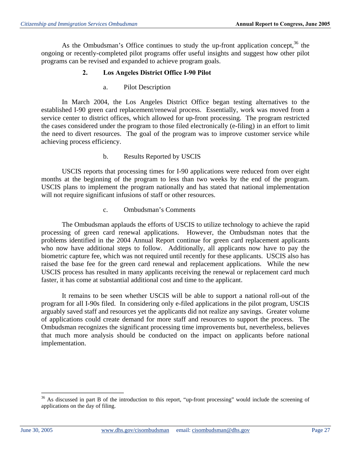As the Ombudsman's Office continues to study the up-front application concept,  $36$  the ongoing or recently-completed pilot programs offer useful insights and suggest how other pilot programs can be revised and expanded to achieve program goals.

## **2. Los Angeles District Office I-90 Pilot**

a. Pilot Description

In March 2004, the Los Angeles District Office began testing alternatives to the established I-90 green card replacement/renewal process. Essentially, work was moved from a service center to district offices, which allowed for up-front processing. The program restricted the cases considered under the program to those filed electronically (e-filing) in an effort to limit the need to divert resources. The goal of the program was to improve customer service while achieving process efficiency.

#### b. Results Reported by USCIS

USCIS reports that processing times for I-90 applications were reduced from over eight months at the beginning of the program to less than two weeks by the end of the program. USCIS plans to implement the program nationally and has stated that national implementation will not require significant infusions of staff or other resources.

#### c. Ombudsman's Comments

The Ombudsman applauds the efforts of USCIS to utilize technology to achieve the rapid processing of green card renewal applications. However, the Ombudsman notes that the problems identified in the 2004 Annual Report continue for green card replacement applicants who now have additional steps to follow. Additionally, all applicants now have to pay the biometric capture fee, which was not required until recently for these applicants. USCIS also has raised the base fee for the green card renewal and replacement applications. While the new USCIS process has resulted in many applicants receiving the renewal or replacement card much faster, it has come at substantial additional cost and time to the applicant.

It remains to be seen whether USCIS will be able to support a national roll-out of the program for all I-90s filed. In considering only e-filed applications in the pilot program, USCIS arguably saved staff and resources yet the applicants did not realize any savings. Greater volume of applications could create demand for more staff and resources to support the process. The Ombudsman recognizes the significant processing time improvements but, nevertheless, believes that much more analysis should be conducted on the impact on applicants before national implementation.

<sup>&</sup>lt;sup>36</sup> As discussed in part B of the introduction to this report, "up-front processing" would include the screening of applications on the day of filing.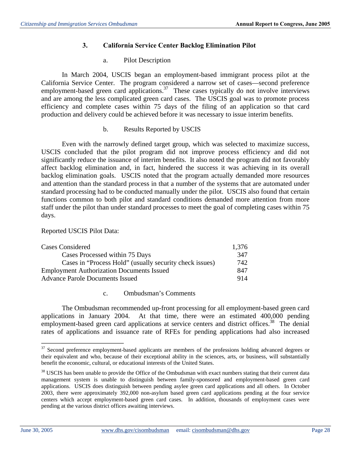## **3. California Service Center Backlog Elimination Pilot**

## a. Pilot Description

In March 2004, USCIS began an employment-based immigrant process pilot at the California Service Center. The program considered a narrow set of cases—second preference employment-based green card applications.<sup>37</sup> These cases typically do not involve interviews and are among the less complicated green card cases. The USCIS goal was to promote process efficiency and complete cases within 75 days of the filing of an application so that card production and delivery could be achieved before it was necessary to issue interim benefits.

## b. Results Reported by USCIS

Even with the narrowly defined target group, which was selected to maximize success, USCIS concluded that the pilot program did not improve process efficiency and did not significantly reduce the issuance of interim benefits. It also noted the program did not favorably affect backlog elimination and, in fact, hindered the success it was achieving in its overall backlog elimination goals. USCIS noted that the program actually demanded more resources and attention than the standard process in that a number of the systems that are automated under standard processing had to be conducted manually under the pilot. USCIS also found that certain functions common to both pilot and standard conditions demanded more attention from more staff under the pilot than under standard processes to meet the goal of completing cases within 75 days.

Reported USCIS Pilot Data:

| <b>Cases Considered</b>                                 |      |
|---------------------------------------------------------|------|
| Cases Processed within 75 Days                          | 347  |
| Cases in "Process Hold" (usually security check issues) | 742. |
| <b>Employment Authorization Documents Issued</b>        |      |
| <b>Advance Parole Documents Issued</b>                  |      |

## c. Ombudsman's Comments

The Ombudsman recommended up-front processing for all employment-based green card applications in January 2004. At that time, there were an estimated 400,000 pending employment-based green card applications at service centers and district offices.<sup>38</sup> The denial rates of applications and issuance rate of RFEs for pending applications had also increased

<sup>&</sup>lt;sup>37</sup> Second preference employment-based applicants are members of the professions holding advanced degrees or their equivalent and who, because of their exceptional ability in the sciences, arts, or business, will substantially benefit the economic, cultural, or educational interests of the United States.

 $38$  USCIS has been unable to provide the Office of the Ombudsman with exact numbers stating that their current data management system is unable to distinguish between family-sponsored and employment-based green card applications. USCIS does distinguish between pending asylee green card applications and all others. In October 2003, there were approximately 392,000 non-asylum based green card applications pending at the four service centers which accept employment-based green card cases. In addition, thousands of employment cases were pending at the various district offices awaiting interviews.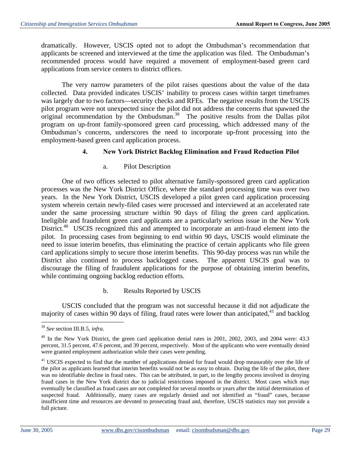dramatically. However, USCIS opted not to adopt the Ombudsman's recommendation that applicants be screened and interviewed at the time the application was filed. The Ombudsman's recommended process would have required a movement of employment-based green card applications from service centers to district offices.

The very narrow parameters of the pilot raises questions about the value of the data collected. Data provided indicates USCIS' inability to process cases within target timeframes was largely due to two factors—security checks and RFEs. The negative results from the USCIS pilot program were not unexpected since the pilot did not address the concerns that spawned the original recommendation by the Ombudsman.<sup>39</sup> The positive results from the Dallas pilot program on up-front family-sponsored green card processing, which addressed many of the Ombudsman's concerns, underscores the need to incorporate up-front processing into the employment-based green card application process.

#### **4. New York District Backlog Elimination and Fraud Reduction Pilot**

#### a. Pilot Description

One of two offices selected to pilot alternative family-sponsored green card application processes was the New York District Office, where the standard processing time was over two years. In the New York District, USCIS developed a pilot green card application processing system wherein certain newly-filed cases were processed and interviewed at an accelerated rate under the same processing structure within 90 days of filing the green card application. Ineligible and fraudulent green card applicants are a particularly serious issue in the New York District.<sup>40</sup> USCIS recognized this and attempted to incorporate an anti-fraud element into the pilot. In processing cases from beginning to end within 90 days, USCIS would eliminate the need to issue interim benefits, thus eliminating the practice of certain applicants who file green card applications simply to secure those interim benefits. This 90-day process was run while the District also continued to process backlogged cases. The apparent USCIS goal was to discourage the filing of fraudulent applications for the purpose of obtaining interim benefits, while continuing ongoing backlog reduction efforts.

#### b. Results Reported by USCIS

USCIS concluded that the program was not successful because it did not adjudicate the majority of cases within 90 days of filing, fraud rates were lower than anticipated, $41$  and backlog

<sup>39</sup>*See* section III.B.5, *infra*.

<sup>&</sup>lt;sup>40</sup> In the New York District, the green card application denial rates in 2001, 2002, 2003, and 2004 were: 43.3 percent, 31.5 percent, 47.6 percent, and 39 percent, respectively. Most of the applicants who were eventually denied were granted employment authorization while their cases were pending.

<sup>&</sup>lt;sup>41</sup> USCIS expected to find that the number of applications denied for fraud would drop measurably over the life of the pilot as applicants learned that interim benefits would not be as easy to obtain. During the life of the pilot, there was no identifiable decline in fraud rates. This can be attributed, in part, to the lengthy process involved in denying fraud cases in the New York district due to judicial restrictions imposed in the district. Most cases which may eventually be classified as fraud cases are not completed for several months or years after the initial determination of suspected fraud. Additionally, many cases are regularly denied and not identified as "fraud" cases, because insufficient time and resources are devoted to prosecuting fraud and, therefore, USCIS statistics may not provide a full picture.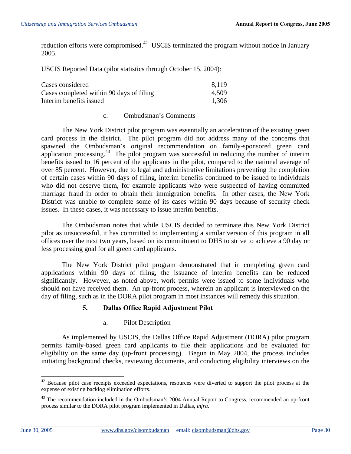reduction efforts were compromised.<sup>42</sup> USCIS terminated the program without notice in January 2005.

USCIS Reported Data (pilot statistics through October 15, 2004):

| Cases considered                         | 8.119 |
|------------------------------------------|-------|
| Cases completed within 90 days of filing | 4.509 |
| Interim benefits issued                  | 1.306 |

#### c. Ombudsman's Comments

The New York District pilot program was essentially an acceleration of the existing green card process in the district. The pilot program did not address many of the concerns that spawned the Ombudsman's original recommendation on family-sponsored green card application processing. $43$  The pilot program was successful in reducing the number of interim benefits issued to 16 percent of the applicants in the pilot, compared to the national average of over 85 percent. However, due to legal and administrative limitations preventing the completion of certain cases within 90 days of filing, interim benefits continued to be issued to individuals who did not deserve them, for example applicants who were suspected of having committed marriage fraud in order to obtain their immigration benefits. In other cases, the New York District was unable to complete some of its cases within 90 days because of security check issues. In these cases, it was necessary to issue interim benefits.

The Ombudsman notes that while USCIS decided to terminate this New York District pilot as unsuccessful, it has committed to implementing a similar version of this program in all offices over the next two years, based on its commitment to DHS to strive to achieve a 90 day or less processing goal for all green card applicants.

The New York District pilot program demonstrated that in completing green card applications within 90 days of filing, the issuance of interim benefits can be reduced significantly. However, as noted above, work permits were issued to some individuals who should not have received them. An up-front process, wherein an applicant is interviewed on the day of filing, such as in the DORA pilot program in most instances will remedy this situation.

#### **5. Dallas Office Rapid Adjustment Pilot**

a. Pilot Description

As implemented by USCIS, the Dallas Office Rapid Adjustment (DORA) pilot program permits family-based green card applicants to file their applications and be evaluated for eligibility on the same day (up-front processing). Begun in May 2004, the process includes initiating background checks, reviewing documents, and conducting eligibility interviews on the

<sup>&</sup>lt;sup>42</sup> Because pilot case receipts exceeded expectations, resources were diverted to support the pilot process at the expense of existing backlog elimination efforts.

<sup>&</sup>lt;sup>43</sup> The recommendation included in the Ombudsman's 2004 Annual Report to Congress, recommended an up-front process similar to the DORA pilot program implemented in Dallas, *infra*.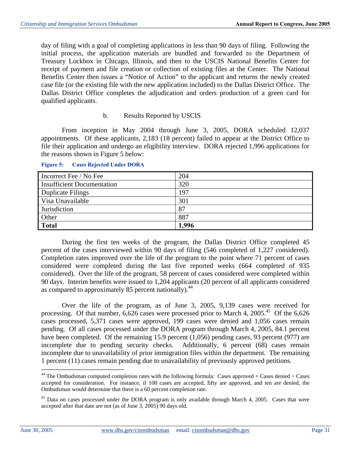day of filing with a goal of completing applications in less than 90 days of filing. Following the initial process, the application materials are bundled and forwarded to the Department of Treasury Lockbox in Chicago, Illinois, and then to the USCIS National Benefits Center for receipt of payment and file creation or collection of existing files at the Center. The National Benefits Center then issues a "Notice of Action" to the applicant and returns the newly created case file (or the existing file with the new application included) to the Dallas District Office. The Dallas District Office completes the adjudication and orders production of a green card for qualified applicants.

#### b. Results Reported by USCIS

From inception in May 2004 through June 3, 2005, DORA scheduled 12,037 appointments. Of these applicants, 2,183 (18 percent) failed to appear at the District Office to file their application and undergo an eligibility interview. DORA rejected 1,996 applications for the reasons shown in Figure 5 below:

| Incorrect Fee / No Fee            | 204   |
|-----------------------------------|-------|
| <b>Insufficient Documentation</b> | 320   |
| <b>Duplicate Filings</b>          | 197   |
| Visa Unavailable                  | 301   |
| Jurisdiction                      | 87    |
| Other                             | 887   |
| <b>Total</b>                      | 1.996 |

#### **Figure 5: Cases Rejected Under DORA**

During the first ten weeks of the program, the Dallas District Office completed 45 percent of the cases interviewed within 90 days of filing (546 completed of 1,227 considered). Completion rates improved over the life of the program to the point where 71 percent of cases considered were completed during the last five reported weeks (664 completed of 935 considered). Over the life of the program, 58 percent of cases considered were completed within 90 days. Interim benefits were issued to 1,204 applicants (20 percent of all applicants considered as compared to approximately 85 percent nationally).<sup>44</sup>

Over the life of the program, as of June 3, 2005, 9,139 cases were received for processing. Of that number,  $6,626$  cases were processed prior to March 4,  $2005<sup>45</sup>$  Of the  $6,626$ cases processed, 5,371 cases were approved, 199 cases were denied and 1,056 cases remain pending. Of all cases processed under the DORA program through March 4, 2005, 84.1 percent have been completed. Of the remaining 15.9 percent (1,056) pending cases, 93 percent (977) are incomplete due to pending security checks. Additionally, 6 percent (68) cases remain incomplete due to unavailability of prior immigration files within the department. The remaining 1 percent (11) cases remain pending due to unavailability of previously approved petitions.

 $44$  The Ombudsman computed completion rates with the following formula: Cases approved + Cases denied  $\div$  Cases accepted for consideration. For instance, if 100 cases are accepted, fifty are approved, and ten are denied, the Ombudsman would determine that there is a 60 percent completion rate.

 $45$  Data on cases processed under the DORA program is only available through March 4, 2005. Cases that were accepted after that date are not (as of June 3, 2005) 90 days old.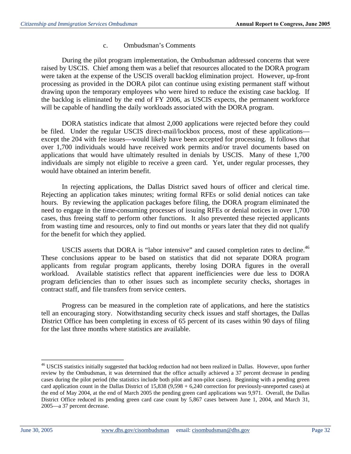#### c. Ombudsman's Comments

During the pilot program implementation, the Ombudsman addressed concerns that were raised by USCIS. Chief among them was a belief that resources allocated to the DORA program were taken at the expense of the USCIS overall backlog elimination project. However, up-front processing as provided in the DORA pilot can continue using existing permanent staff without drawing upon the temporary employees who were hired to reduce the existing case backlog. If the backlog is eliminated by the end of FY 2006, as USCIS expects, the permanent workforce will be capable of handling the daily workloads associated with the DORA program.

DORA statistics indicate that almost 2,000 applications were rejected before they could be filed. Under the regular USCIS direct-mail/lockbox process, most of these applications except the 204 with fee issues—would likely have been accepted for processing. It follows that over 1,700 individuals would have received work permits and/or travel documents based on applications that would have ultimately resulted in denials by USCIS. Many of these 1,700 individuals are simply not eligible to receive a green card. Yet, under regular processes, they would have obtained an interim benefit.

In rejecting applications, the Dallas District saved hours of officer and clerical time. Rejecting an application takes minutes; writing formal RFEs or solid denial notices can take hours. By reviewing the application packages before filing, the DORA program eliminated the need to engage in the time-consuming processes of issuing RFEs or denial notices in over 1,700 cases, thus freeing staff to perform other functions. It also prevented these rejected applicants from wasting time and resources, only to find out months or years later that they did not qualify for the benefit for which they applied.

USCIS asserts that DORA is "labor intensive" and caused completion rates to decline.<sup>46</sup> These conclusions appear to be based on statistics that did not separate DORA program applicants from regular program applicants, thereby losing DORA figures in the overall workload. Available statistics reflect that apparent inefficiencies were due less to DORA program deficiencies than to other issues such as incomplete security checks, shortages in contract staff, and file transfers from service centers.

Progress can be measured in the completion rate of applications, and here the statistics tell an encouraging story. Notwithstanding security check issues and staff shortages, the Dallas District Office has been completing in excess of 65 percent of its cases within 90 days of filing for the last three months where statistics are available.

<sup>&</sup>lt;sup>46</sup> USCIS statistics initially suggested that backlog reduction had not been realized in Dallas. However, upon further review by the Ombudsman, it was determined that the office actually achieved a 37 percent decrease in pending cases during the pilot period (the statistics include both pilot and non-pilot cases). Beginning with a pending green card application count in the Dallas District of  $15,838$  (9,598 + 6,240 correction for previously-unreported cases) at the end of May 2004, at the end of March 2005 the pending green card applications was 9,971. Overall, the Dallas District Office reduced its pending green card case count by 5,867 cases between June 1, 2004, and March 31, 2005—a 37 percent decrease.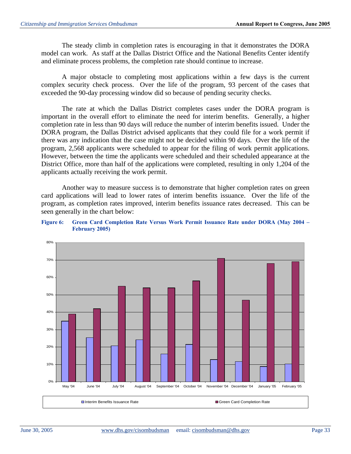The steady climb in completion rates is encouraging in that it demonstrates the DORA model can work. As staff at the Dallas District Office and the National Benefits Center identify and eliminate process problems, the completion rate should continue to increase.

A major obstacle to completing most applications within a few days is the current complex security check process. Over the life of the program, 93 percent of the cases that exceeded the 90-day processing window did so because of pending security checks.

The rate at which the Dallas District completes cases under the DORA program is important in the overall effort to eliminate the need for interim benefits. Generally, a higher completion rate in less than 90 days will reduce the number of interim benefits issued. Under the DORA program, the Dallas District advised applicants that they could file for a work permit if there was any indication that the case might not be decided within 90 days. Over the life of the program, 2,568 applicants were scheduled to appear for the filing of work permit applications. However, between the time the applicants were scheduled and their scheduled appearance at the District Office, more than half of the applications were completed, resulting in only 1,204 of the applicants actually receiving the work permit.

Another way to measure success is to demonstrate that higher completion rates on green card applications will lead to lower rates of interim benefits issuance. Over the life of the program, as completion rates improved, interim benefits issuance rates decreased. This can be seen generally in the chart below:



**Figure 6: Green Card Completion Rate Versus Work Permit Issuance Rate under DORA (May 2004 – February 2005)**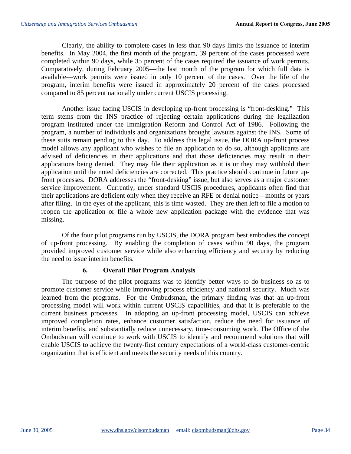Clearly, the ability to complete cases in less than 90 days limits the issuance of interim benefits. In May 2004, the first month of the program, 39 percent of the cases processed were completed within 90 days, while 35 percent of the cases required the issuance of work permits. Comparatively, during February 2005—the last month of the program for which full data is available—work permits were issued in only 10 percent of the cases. Over the life of the program, interim benefits were issued in approximately 20 percent of the cases processed compared to 85 percent nationally under current USCIS processing.

Another issue facing USCIS in developing up-front processing is "front-desking." This term stems from the INS practice of rejecting certain applications during the legalization program instituted under the Immigration Reform and Control Act of 1986. Following the program, a number of individuals and organizations brought lawsuits against the INS. Some of these suits remain pending to this day. To address this legal issue, the DORA up-front process model allows any applicant who wishes to file an application to do so, although applicants are advised of deficiencies in their applications and that those deficiencies may result in their applications being denied. They may file their application as it is or they may withhold their application until the noted deficiencies are corrected. This practice should continue in future upfront processes. DORA addresses the "front-desking" issue, but also serves as a major customer service improvement. Currently, under standard USCIS procedures, applicants often find that their applications are deficient only when they receive an RFE or denial notice—months or years after filing. In the eyes of the applicant, this is time wasted. They are then left to file a motion to reopen the application or file a whole new application package with the evidence that was missing.

Of the four pilot programs run by USCIS, the DORA program best embodies the concept of up-front processing. By enabling the completion of cases within 90 days, the program provided improved customer service while also enhancing efficiency and security by reducing the need to issue interim benefits.

## **6. Overall Pilot Program Analysis**

The purpose of the pilot programs was to identify better ways to do business so as to promote customer service while improving process efficiency and national security. Much was learned from the programs. For the Ombudsman, the primary finding was that an up-front processing model will work within current USCIS capabilities, and that it is preferable to the current business processes. In adopting an up-front processing model, USCIS can achieve improved completion rates, enhance customer satisfaction, reduce the need for issuance of interim benefits, and substantially reduce unnecessary, time-consuming work. The Office of the Ombudsman will continue to work with USCIS to identify and recommend solutions that will enable USCIS to achieve the twenty-first century expectations of a world-class customer-centric organization that is efficient and meets the security needs of this country.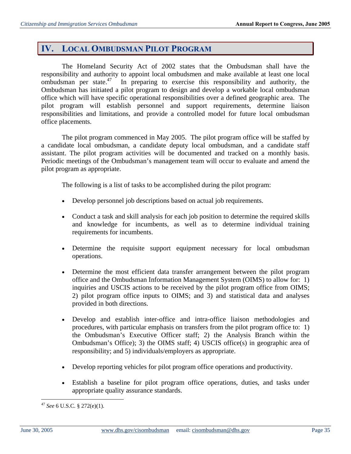# **IV. LOCAL OMBUDSMAN PILOT PROGRAM**

The Homeland Security Act of 2002 states that the Ombudsman shall have the responsibility and authority to appoint local ombudsmen and make available at least one local ombudsman per state.47 In preparing to exercise this responsibility and authority, the Ombudsman has initiated a pilot program to design and develop a workable local ombudsman office which will have specific operational responsibilities over a defined geographic area. The pilot program will establish personnel and support requirements, determine liaison responsibilities and limitations, and provide a controlled model for future local ombudsman office placements.

The pilot program commenced in May 2005. The pilot program office will be staffed by a candidate local ombudsman, a candidate deputy local ombudsman, and a candidate staff assistant. The pilot program activities will be documented and tracked on a monthly basis. Periodic meetings of the Ombudsman's management team will occur to evaluate and amend the pilot program as appropriate.

The following is a list of tasks to be accomplished during the pilot program:

- Develop personnel job descriptions based on actual job requirements.
- Conduct a task and skill analysis for each job position to determine the required skills and knowledge for incumbents, as well as to determine individual training requirements for incumbents.
- Determine the requisite support equipment necessary for local ombudsman operations.
- Determine the most efficient data transfer arrangement between the pilot program office and the Ombudsman Information Management System (OIMS) to allow for: 1) inquiries and USCIS actions to be received by the pilot program office from OIMS; 2) pilot program office inputs to OIMS; and 3) and statistical data and analyses provided in both directions.
- Develop and establish inter-office and intra-office liaison methodologies and procedures, with particular emphasis on transfers from the pilot program office to: 1) the Ombudsman's Executive Officer staff; 2) the Analysis Branch within the Ombudsman's Office); 3) the OIMS staff; 4) USCIS office(s) in geographic area of responsibility; and 5) individuals/employers as appropriate.
- Develop reporting vehicles for pilot program office operations and productivity.
- Establish a baseline for pilot program office operations, duties, and tasks under appropriate quality assurance standards.

<sup>47</sup>*See* 6 U.S.C. § 272(e)(1).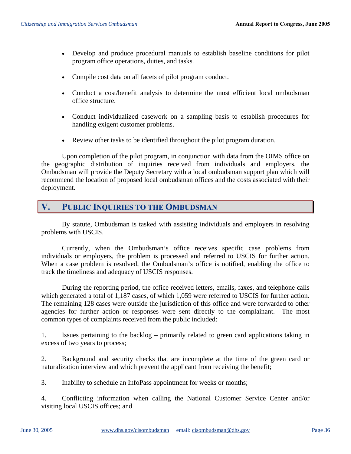- Develop and produce procedural manuals to establish baseline conditions for pilot program office operations, duties, and tasks.
- Compile cost data on all facets of pilot program conduct.
- Conduct a cost/benefit analysis to determine the most efficient local ombudsman office structure.
- Conduct individualized casework on a sampling basis to establish procedures for handling exigent customer problems.
- Review other tasks to be identified throughout the pilot program duration.

Upon completion of the pilot program, in conjunction with data from the OIMS office on the geographic distribution of inquiries received from individuals and employers, the Ombudsman will provide the Deputy Secretary with a local ombudsman support plan which will recommend the location of proposed local ombudsman offices and the costs associated with their deployment.

## **V. PUBLIC INQUIRIES TO THE OMBUDSMAN**

By statute, Ombudsman is tasked with assisting individuals and employers in resolving problems with USCIS.

Currently, when the Ombudsman's office receives specific case problems from individuals or employers, the problem is processed and referred to USCIS for further action. When a case problem is resolved, the Ombudsman's office is notified, enabling the office to track the timeliness and adequacy of USCIS responses.

During the reporting period, the office received letters, emails, faxes, and telephone calls which generated a total of 1,187 cases, of which 1,059 were referred to USCIS for further action. The remaining 128 cases were outside the jurisdiction of this office and were forwarded to other agencies for further action or responses were sent directly to the complainant. The most common types of complaints received from the public included:

1. Issues pertaining to the backlog – primarily related to green card applications taking in excess of two years to process;

2. Background and security checks that are incomplete at the time of the green card or naturalization interview and which prevent the applicant from receiving the benefit;

3. Inability to schedule an InfoPass appointment for weeks or months;

4. Conflicting information when calling the National Customer Service Center and/or visiting local USCIS offices; and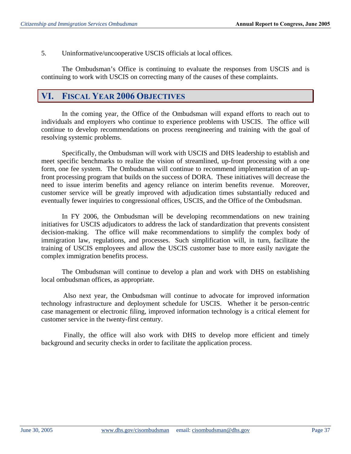5. Uninformative/uncooperative USCIS officials at local offices.

The Ombudsman's Office is continuing to evaluate the responses from USCIS and is continuing to work with USCIS on correcting many of the causes of these complaints.

## **VI. FISCAL YEAR 2006 OBJECTIVES**

In the coming year, the Office of the Ombudsman will expand efforts to reach out to individuals and employers who continue to experience problems with USCIS. The office will continue to develop recommendations on process reengineering and training with the goal of resolving systemic problems.

Specifically, the Ombudsman will work with USCIS and DHS leadership to establish and meet specific benchmarks to realize the vision of streamlined, up-front processing with a one form, one fee system. The Ombudsman will continue to recommend implementation of an upfront processing program that builds on the success of DORA. These initiatives will decrease the need to issue interim benefits and agency reliance on interim benefits revenue. Moreover, customer service will be greatly improved with adjudication times substantially reduced and eventually fewer inquiries to congressional offices, USCIS, and the Office of the Ombudsman.

In FY 2006, the Ombudsman will be developing recommendations on new training initiatives for USCIS adjudicators to address the lack of standardization that prevents consistent decision-making. The office will make recommendations to simplify the complex body of immigration law, regulations, and processes. Such simplification will, in turn, facilitate the training of USCIS employees and allow the USCIS customer base to more easily navigate the complex immigration benefits process.

The Ombudsman will continue to develop a plan and work with DHS on establishing local ombudsman offices, as appropriate.

Also next year, the Ombudsman will continue to advocate for improved information technology infrastructure and deployment schedule for USCIS. Whether it be person-centric case management or electronic filing, improved information technology is a critical element for customer service in the twenty-first century.

 Finally, the office will also work with DHS to develop more efficient and timely background and security checks in order to facilitate the application process.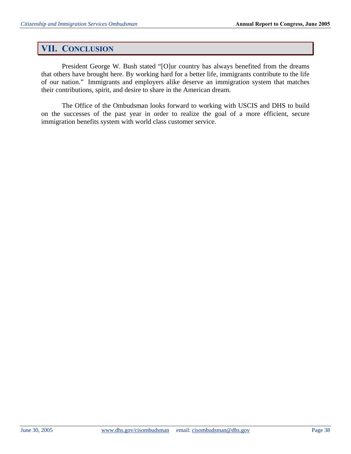# **VII. CONCLUSION**

President George W. Bush stated "[O]ur country has always benefited from the dreams that others have brought here. By working hard for a better life, immigrants contribute to the life of our nation." Immigrants and employers alike deserve an immigration system that matches their contributions, spirit, and desire to share in the American dream.

The Office of the Ombudsman looks forward to working with USCIS and DHS to build on the successes of the past year in order to realize the goal of a more efficient, secure immigration benefits system with world class customer service.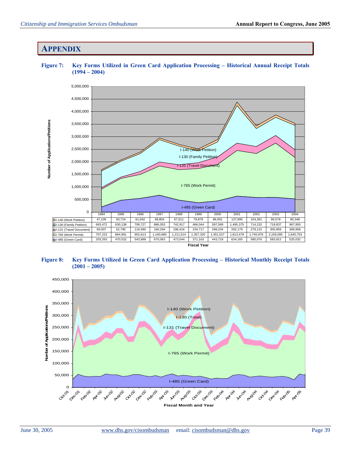## **APPENDIX**